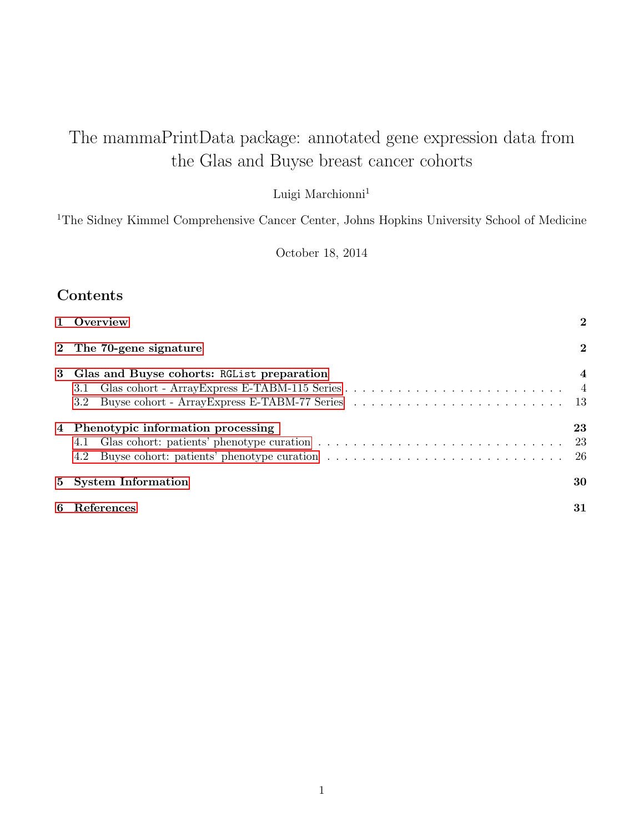# The mammaPrintData package: annotated gene expression data from the Glas and Buyse breast cancer cohorts

Luigi $\mathit{Marchionni}^1$ 

<sup>1</sup>The Sidney Kimmel Comprehensive Cancer Center, Johns Hopkins University School of Medicine

October 18, 2014

# Contents

| 1 Overview                                                                                                   | $\bf{2}$       |
|--------------------------------------------------------------------------------------------------------------|----------------|
| 2 The 70-gene signature                                                                                      | $\bf{2}$       |
| 3 Glas and Buyse cohorts: RGL ist preparation<br>3.1<br>3.2 Buyse cohort - ArrayExpress E-TABM-77 Series  13 | $\overline{4}$ |
| 4 Phenotypic information processing<br>4.1<br>4.2                                                            | 23             |
| 5 System Information                                                                                         | 30             |
| 6 References                                                                                                 | 31             |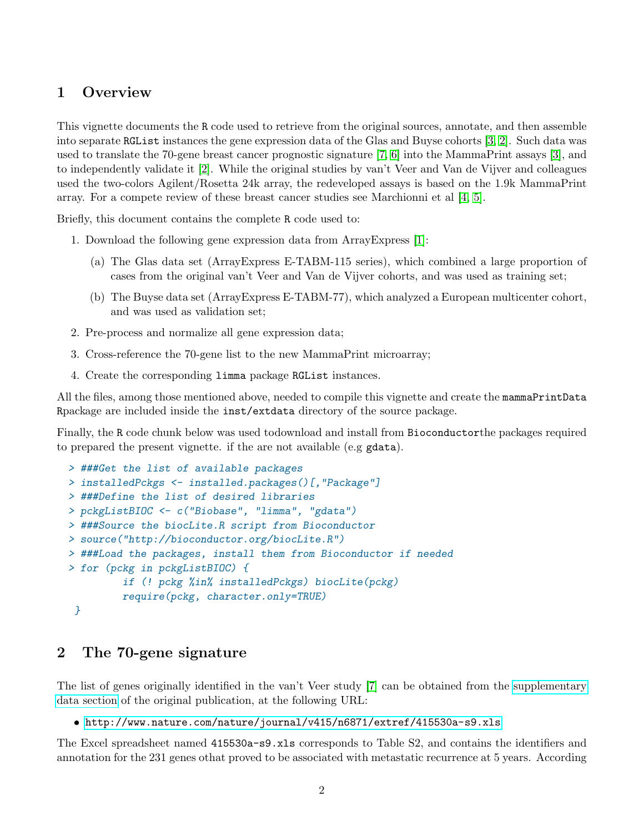### <span id="page-1-0"></span>1 Overview

This vignette documents the R code used to retrieve from the original sources, annotate, and then assemble into separate RGList instances the gene expression data of the Glas and Buyse cohorts [\[3,](#page-30-1) [2\]](#page-30-2). Such data was used to translate the 70-gene breast cancer prognostic signature [\[7,](#page-30-3) [6\]](#page-30-4) into the MammaPrint assays [\[3\]](#page-30-1), and to independently validate it [\[2\]](#page-30-2). While the original studies by van't Veer and Van de Vijver and colleagues used the two-colors Agilent/Rosetta 24k array, the redeveloped assays is based on the 1.9k MammaPrint array. For a compete review of these breast cancer studies see Marchionni et al [\[4,](#page-30-5) [5\]](#page-30-6).

Briefly, this document contains the complete R code used to:

- 1. Download the following gene expression data from ArrayExpress [\[1\]](#page-30-7):
	- (a) The Glas data set (ArrayExpress E-TABM-115 series), which combined a large proportion of cases from the original van't Veer and Van de Vijver cohorts, and was used as training set;
	- (b) The Buyse data set (ArrayExpress E-TABM-77), which analyzed a European multicenter cohort, and was used as validation set;
- 2. Pre-process and normalize all gene expression data;
- 3. Cross-reference the 70-gene list to the new MammaPrint microarray;
- 4. Create the corresponding limma package RGList instances.

All the files, among those mentioned above, needed to compile this vignette and create the mammaPrintData Rpackage are included inside the inst/extdata directory of the source package.

Finally, the R code chunk below was used todownload and install from Bioconductorthe packages required to prepared the present vignette. if the are not available (e.g gdata).

```
> ###Get the list of available packages
> installedPckgs <- installed.packages()[,"Package"]
> ###Define the list of desired libraries
> pckgListBIOC <- c("Biobase", "limma", "gdata")
> ###Source the biocLite.R script from Bioconductor
> source("http://bioconductor.org/biocLite.R")
> ###Load the packages, install them from Bioconductor if needed
> for (pckg in pckgListBIOC) {
         if (! pckg %in% installedPckgs) biocLite(pckg)
         require(pckg, character.only=TRUE)
 }
```
### <span id="page-1-1"></span>2 The 70-gene signature

The list of genes originally identified in the van't Veer study [\[7\]](#page-30-3) can be obtained from the [supplementary](http://www.nature.com/nature/journal/v415/n6871/suppinfo/415530a.html) [data section](http://www.nature.com/nature/journal/v415/n6871/suppinfo/415530a.html) of the original publication, at the following URL:

<http://www.nature.com/nature/journal/v415/n6871/extref/415530a-s9.xls>

The Excel spreadsheet named 415530a-s9.xls corresponds to Table S2, and contains the identifiers and annotation for the 231 genes othat proved to be associated with metastatic recurrence at 5 years. According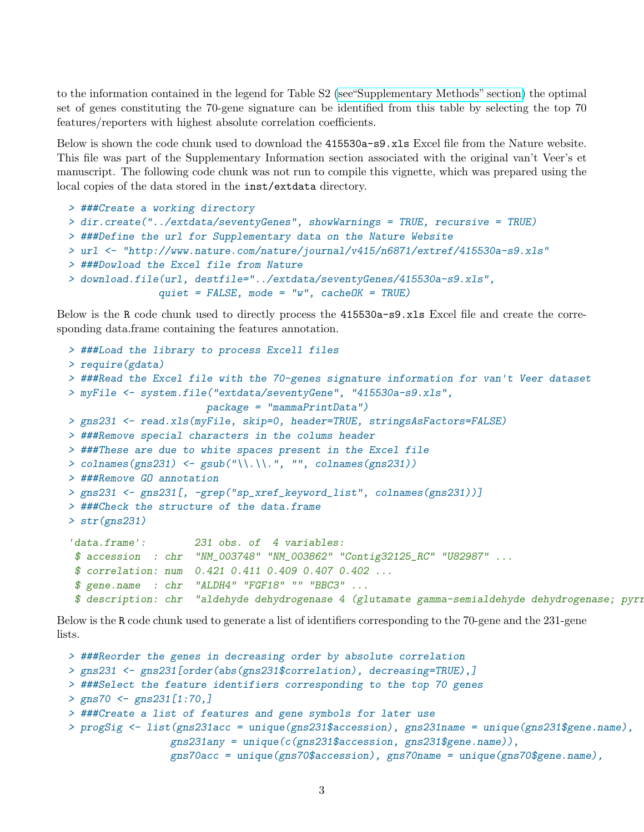to the information contained in the legend for Table S2 [\(see"Supplementary Methods" section\)](http://www.nature.com/nature/journal/v415/n6871/extref/415530a-s7.doc) the optimal set of genes constituting the 70-gene signature can be identified from this table by selecting the top 70 features/reporters with highest absolute correlation coefficients.

Below is shown the code chunk used to download the 415530a-s9.xls Excel file from the Nature website. This file was part of the Supplementary Information section associated with the original van't Veer's et manuscript. The following code chunk was not run to compile this vignette, which was prepared using the local copies of the data stored in the inst/extdata directory.

```
> ###Create a working directory
> dir.create("../extdata/seventyGenes", showWarnings = TRUE, recursive = TRUE)
> ###Define the url for Supplementary data on the Nature Website
> url <- "http://www.nature.com/nature/journal/v415/n6871/extref/415530a-s9.xls"
> ###Dowload the Excel file from Nature
> download.file(url, destfile="../extdata/seventyGenes/415530a-s9.xls",
               quite = FALSE, mode = "w", cacheOK = TRUE)
```
Below is the R code chunk used to directly process the 415530a-s9.xls Excel file and create the corresponding data.frame containing the features annotation.

```
> ###Load the library to process Excell files
> require(gdata)
> ###Read the Excel file with the 70-genes signature information for van't Veer dataset
> myFile <- system.file("extdata/seventyGene", "415530a-s9.xls",
                      package = "mammaPrintData")
> gns231 <- read.xls(myFile, skip=0, header=TRUE, stringsAsFactors=FALSE)
> ###Remove special characters in the colums header
> ###These are due to white spaces present in the Excel file
> colnames(gns231) \leq gsub("\\.\\.", "", colnames(gns231))
> ###Remove GO annotation
> gns231 <- gns231[, -grep("sp_xref_keyword_list", colnames(gns231))]
> ###Check the structure of the data.frame
> str(gns231)
'data.frame': 231 obs. of 4 variables:
 $ accession : chr "NM_003748" "NM_003862" "Contig32125_RC" "U82987" ...
 $ correlation: num 0.421 0.411 0.409 0.407 0.402 ...
 $ gene.name : chr "ALDH4" "FGF18" "" "BBC3" ...
 $ description: chr "aldehyde dehydrogenase 4 (glutamate gamma-semialdehyde dehydrogenase; pyri
```
Below is the R code chunk used to generate a list of identifiers corresponding to the 70-gene and the 231-gene lists.

```
> ###Reorder the genes in decreasing order by absolute correlation
> gns231 <- gns231[order(abs(gns231$correlation), decreasing=TRUE),]
> ###Select the feature identifiers corresponding to the top 70 genes
> gns70 <- gns231[1:70,]
> ###Create a list of features and gene symbols for later use
> progSig <- list(gns231acc = unique(gns231$accession), gns231name = unique(gns231$gene.name),
                 gns231any = unique(c(gns231$accession, gns231$gene.name)),
                 gns70acc = unique(gns70$accession), gns70name = unique(gns70$gene.name),
```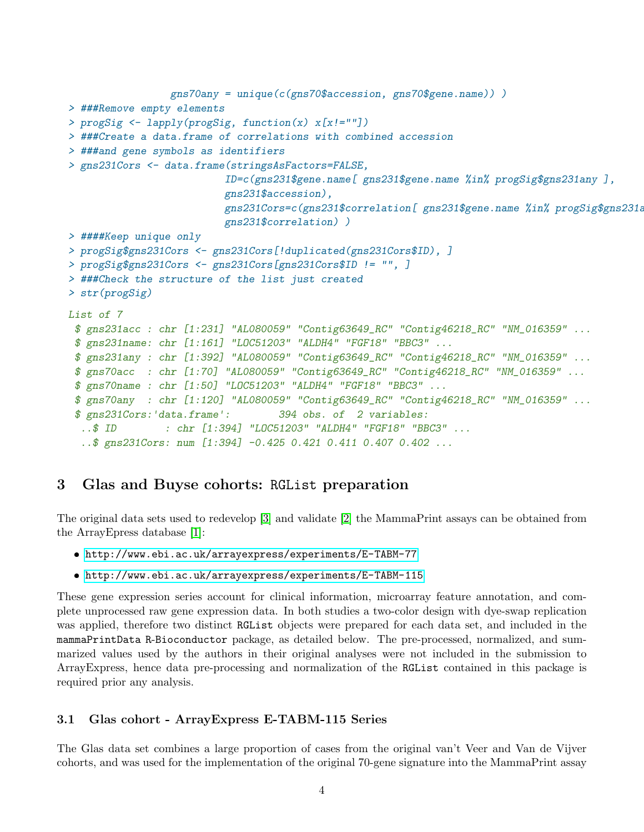```
gns70any = unique(c(gns70$accession, gns70$gene.name)) )
> ###Remove empty elements
> progSig <- lapply(progSig, function(x) x[x!=""])
> ###Create a data.frame of correlations with combined accession
> ###and gene symbols as identifiers
> gns231Cors <- data.frame(stringsAsFactors=FALSE,
                          ID=c(gns231$gene.name[ gns231$gene.name %in% progSig$gns231any ],
                          gns231$accession),
                          gns231Cors=c(gns231$correlation[ gns231$gene.name %in% progSig$gns231a
                          gns231$correlation) )
> ####Keep unique only
> progSig$gns231Cors <- gns231Cors[!duplicated(gns231Cors$ID), ]
> progSig$gns231Cors <- gns231Cors[gns231Cors$ID != "", ]
> ###Check the structure of the list just created
> str(progSig)
List of 7
 $ gns231acc : chr [1:231] "AL080059" "Contig63649_RC" "Contig46218_RC" "NM_016359" ...
 $ gns231name: chr [1:161] "LOC51203" "ALDH4" "FGF18" "BBC3" ...
 $ gns231any : chr [1:392] "AL080059" "Contig63649_RC" "Contig46218_RC" "NM_016359" ...
 $ gns70acc : chr [1:70] "AL080059" "Contig63649_RC" "Contig46218_RC" "NM_016359" ...
 $ gns70name : chr [1:50] "LOC51203" "ALDH4" "FGF18" "BBC3" ...
 $ gns70any : chr [1:120] "AL080059" "Contig63649_RC" "Contig46218_RC" "NM_016359" ...
 $ gns231Cors:'data.frame': 394 obs. of 2 variables:
  ..$ ID : chr [1:394] "LOC51203" "ALDH4" "FGF18" "BBC3" ...
  ..$ gns231Cors: num [1:394] -0.425 0.421 0.411 0.407 0.402 ...
```
# <span id="page-3-0"></span>3 Glas and Buyse cohorts: RGList preparation

The original data sets used to redevelop [\[3\]](#page-30-1) and validate [\[2\]](#page-30-2) the MammaPrint assays can be obtained from the ArrayEpress database [\[1\]](#page-30-7):

- <http://www.ebi.ac.uk/arrayexpress/experiments/E-TABM-77>
- <http://www.ebi.ac.uk/arrayexpress/experiments/E-TABM-115>

These gene expression series account for clinical information, microarray feature annotation, and complete unprocessed raw gene expression data. In both studies a two-color design with dye-swap replication was applied, therefore two distinct RGList objects were prepared for each data set, and included in the mammaPrintData R-Bioconductor package, as detailed below. The pre-processed, normalized, and summarized values used by the authors in their original analyses were not included in the submission to ArrayExpress, hence data pre-processing and normalization of the RGList contained in this package is required prior any analysis.

### <span id="page-3-1"></span>3.1 Glas cohort - ArrayExpress E-TABM-115 Series

The Glas data set combines a large proportion of cases from the original van't Veer and Van de Vijver cohorts, and was used for the implementation of the original 70-gene signature into the MammaPrint assay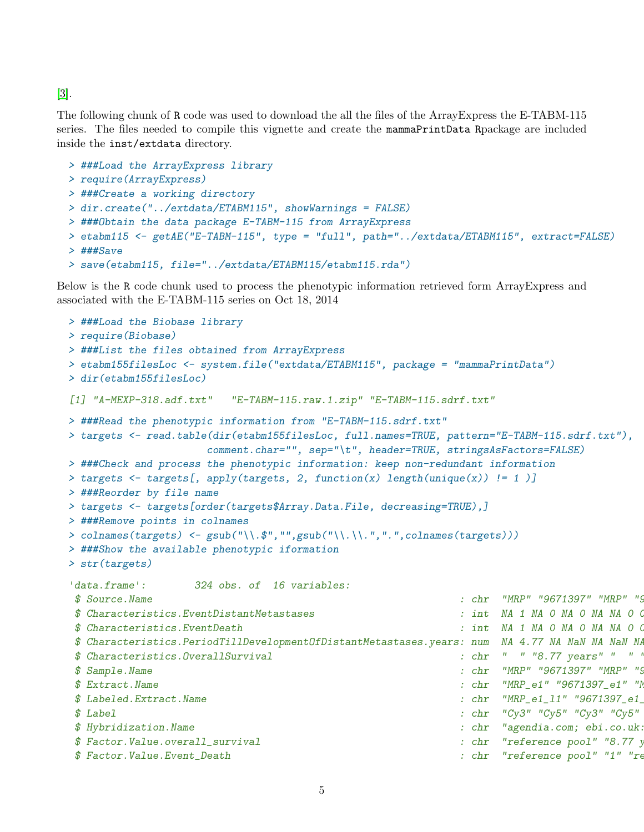[\[3\]](#page-30-1).

The following chunk of R code was used to download the all the files of the ArrayExpress the E-TABM-115 series. The files needed to compile this vignette and create the mammaPrintData Rpackage are included inside the inst/extdata directory.

```
> ###Load the ArrayExpress library
> require(ArrayExpress)
> ###Create a working directory
> dir.create("../extdata/ETABM115", showWarnings = FALSE)
> ###Obtain the data package E-TABM-115 from ArrayExpress
> etabm115 <- getAE("E-TABM-115", type = "full", path="../extdata/ETABM115", extract=FALSE)
> ###Save
> save(etabm115, file="../extdata/ETABM115/etabm115.rda")
```
Below is the R code chunk used to process the phenotypic information retrieved form ArrayExpress and associated with the E-TABM-115 series on Oct 18, 2014

```
> ###Load the Biobase library
> require(Biobase)
> ###List the files obtained from ArrayExpress
> etabm155filesLoc <- system.file("extdata/ETABM115", package = "mammaPrintData")
> dir(etabm155filesLoc)
[1] "A-MEXP-318.adf.txt" "E-TABM-115.raw.1.zip" "E-TABM-115.sdrf.txt"
> ###Read the phenotypic information from "E-TABM-115.sdrf.txt"
> targets <- read.table(dir(etabm155filesLoc, full.names=TRUE, pattern="E-TABM-115.sdrf.txt"),
                   comment.char="", sep="\t", header=TRUE, stringsAsFactors=FALSE)
> ###Check and process the phenotypic information: keep non-redundant information
> targets <- targets[, apply(targets, 2, function(x) length(unique(x)) != 1 )]
> ###Reorder by file name
> targets <- targets[order(targets$Array.Data.File, decreasing=TRUE),]
> ###Remove points in colnames
> colnames(targets) <- gsub("\\.$","",gsub("\\.\\.",".",colnames(targets)))
> ###Show the available phenotypic iformation
> str(targets)
'data.frame': 324 obs. of 16 variables:
$ Source.Name : chr "MRP" "9671397" "MRP" "9
$ Characteristics.EventDistantMetastases : int NA 1 NA 0 NA 0 NA NA 0 0
$ Characteristics.EventDeath $ : int NA 1 NA 0 NA 0 NA NA 0 (
$ Characteristics.PeriodTillDevelopmentOfDistantMetastases.years: num NA 4.77 NA NaN NA NaN NA
$ Characteristics.OverallSurvival : chr " " "8.77 years" " " "17.15 years" ...
$ Sample.Name : chr "MRP" "9671397" "MRP" "9671397" "MRP" "9671397" "MRP" "9671397" "MRP" "9531367" "MRP" "967
$ Extract.Name : chr "MRP_e1" "9671397_e1" "N
$ Labeled.Extract.Name : chr "MRP_e1_11" "9671397_e1_
$ Label $ Label $ Cy3'' Cy5'' Cy5'' Cy5'' Cy5'' Cy5''$ Hybridization.Name : chr "agendia.com; ebi.co.uk:Tab2MAGE:E-TABM-115.1831.Hybridization" "agendia.com; ebi.co.uk:Tab2MAGE:E-TABM-115.1826.Hybridization" "agendia.com; ebi.co.uk:Tab2MAGE:E-TABM-115.1821.Hybridization" "agendia.com; ebi.co.uk:Tab2MAGE:E-TABM-115.1815.Hybridization" ...
$ Factor.Value.overall_survival : chr "reference pool" "8.77 years" ...
$ Factor.Value.Event_Death : chr "reference pool" "1" "re
```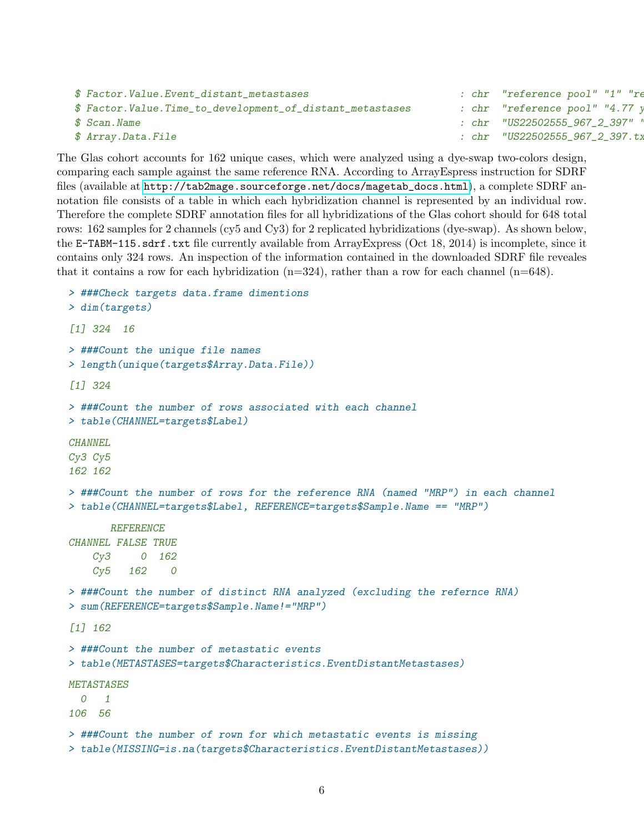```
$ Factor.Value.Event_distant_metastases : chr "reference pool" "1" "re
$ Factor.Value.Time_to_development_of_distant_metastases : chr "reference pool" "4.77 y
$ Scan.Name : chr "US22502555_967_2_397" "US22502555_967_1_397" "US22502555_953_2_366" "US22502555_953_1_366" ...
$ Array.Data.File : chr "US22502555_967_2_397.txt" "US22502555_457_2_366.txt" "US22502555_457_txt" ...
```
The Glas cohort accounts for 162 unique cases, which were analyzed using a dye-swap two-colors design, comparing each sample against the same reference RNA. According to ArrayEspress instruction for SDRF files (available at [http://tab2mage.sourceforge.net/docs/magetab\\_docs.html](http://tab2mage.sourceforge.net/docs/magetab_docs.html)), a complete SDRF annotation file consists of a table in which each hybridization channel is represented by an individual row. Therefore the complete SDRF annotation files for all hybridizations of the Glas cohort should for 648 total rows: 162 samples for 2 channels (cy5 and Cy3) for 2 replicated hybridizations (dye-swap). As shown below, the E-TABM-115.sdrf.txt file currently available from ArrayExpress (Oct 18, 2014) is incomplete, since it contains only 324 rows. An inspection of the information contained in the downloaded SDRF file reveales that it contains a row for each hybridization  $(n=324)$ , rather than a row for each channel  $(n=648)$ .

```
> ###Check targets data.frame dimentions
> dim(targets)
[1] 324 16
> ###Count the unique file names
> length(unique(targets$Array.Data.File))
[1] 324
> ###Count the number of rows associated with each channel
> table(CHANNEL=targets$Label)
CHANNEL
Cy3 Cy5
162 162
> ###Count the number of rows for the reference RNA (named "MRP") in each channel
> table(CHANNEL=targets$Label, REFERENCE=targets$Sample.Name == "MRP")
       REFERENCE
CHANNEL FALSE TRUE
    Cy3 0 162
    Cy5 162 0
> ###Count the number of distinct RNA analyzed (excluding the refernce RNA)
> sum(REFERENCE=targets$Sample.Name!="MRP")
[1] 162
> ###Count the number of metastatic events
> table(METASTASES=targets$Characteristics.EventDistantMetastases)
METASTASES
  0 1
106 56
> ###Count the number of rown for which metastatic events is missing
> table(MISSING=is.na(targets$Characteristics.EventDistantMetastases))
```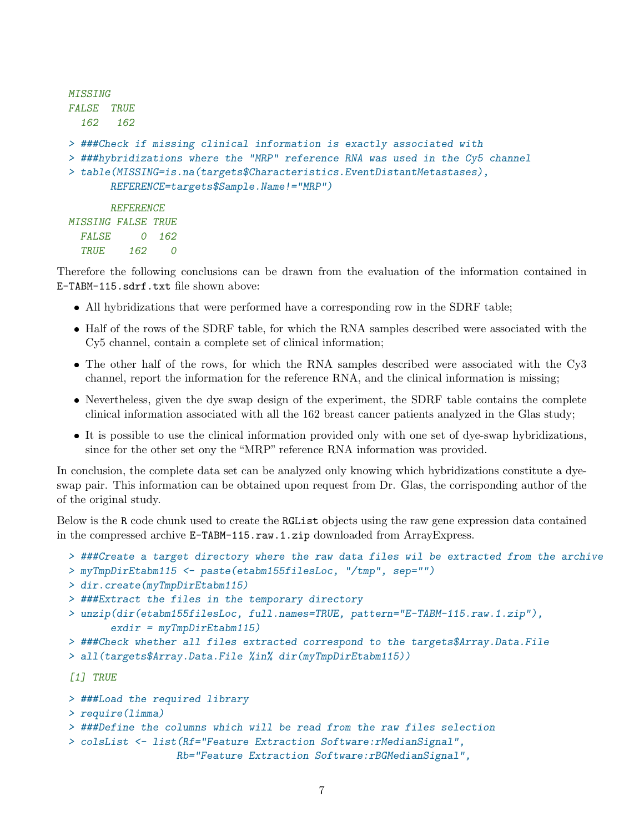```
MISSING
FALSE TRUE
  162 162
> ###Check if missing clinical information is exactly associated with
> ###hybridizations where the "MRP" reference RNA was used in the Cy5 channel
> table(MISSING=is.na(targets$Characteristics.EventDistantMetastases),
      REFERENCE=targets$Sample.Name!="MRP")
      REFERENCE
MISSING FALSE TRUE
 FALSE 0 162
  TRUE 162 0
```
Therefore the following conclusions can be drawn from the evaluation of the information contained in E-TABM-115.sdrf.txt file shown above:

- All hybridizations that were performed have a corresponding row in the SDRF table;
- Half of the rows of the SDRF table, for which the RNA samples described were associated with the Cy5 channel, contain a complete set of clinical information;
- The other half of the rows, for which the RNA samples described were associated with the Cy3 channel, report the information for the reference RNA, and the clinical information is missing;
- Nevertheless, given the dye swap design of the experiment, the SDRF table contains the complete clinical information associated with all the 162 breast cancer patients analyzed in the Glas study;
- It is possible to use the clinical information provided only with one set of dye-swap hybridizations, since for the other set ony the "MRP" reference RNA information was provided.

In conclusion, the complete data set can be analyzed only knowing which hybridizations constitute a dyeswap pair. This information can be obtained upon request from Dr. Glas, the corrisponding author of the of the original study.

Below is the R code chunk used to create the RGList objects using the raw gene expression data contained in the compressed archive E-TABM-115.raw.1.zip downloaded from ArrayExpress.

```
> ###Create a target directory where the raw data files wil be extracted from the archive
```

```
> myTmpDirEtabm115 <- paste(etabm155filesLoc, "/tmp", sep="")
```

```
> dir.create(myTmpDirEtabm115)
```

```
> ###Extract the files in the temporary directory
```

```
> unzip(dir(etabm155filesLoc, full.names=TRUE, pattern="E-TABM-115.raw.1.zip"),
       exdir = myTmpDirEtabm115
```

```
> ###Check whether all files extracted correspond to the targets$Array.Data.File
```

```
> all(targets$Array.Data.File %in% dir(myTmpDirEtabm115))
```
[1] TRUE

```
> ###Load the required library
```

```
> require(limma)
```

```
> ###Define the columns which will be read from the raw files selection
```

```
> colsList <- list(Rf="Feature Extraction Software:rMedianSignal",
```

```
Rb="Feature Extraction Software:rBGMedianSignal",
```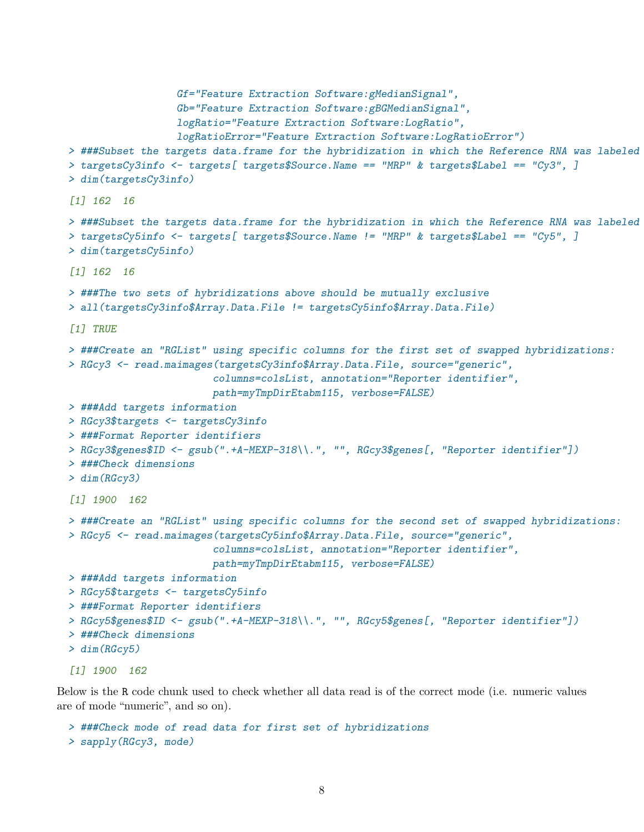```
Gf="Feature Extraction Software:gMedianSignal",
                  Gb="Feature Extraction Software:gBGMedianSignal",
                  logRatio="Feature Extraction Software:LogRatio",
                  logRatioError="Feature Extraction Software:LogRatioError")
> ###Subset the targets data.frame for the hybridization in which the Reference RNA was labeled
> targetsCy3info <- targets[ targets$Source.Name == "MRP" & targets$Label == "Cy3", ]
> dim(targetsCy3info)
[1] 162 16
> ###Subset the targets data.frame for the hybridization in which the Reference RNA was labeled
> targetsCy5info \leq targets[ targets$Source.Name != "MRP" & targets$Label == "Cy5", ]
> dim(targetsCy5info)
[1] 162 16
> ###The two sets of hybridizations above should be mutually exclusive
> all(targetsCy3info$Array.Data.File != targetsCy5info$Array.Data.File)
[1] TRUE
> ###Create an "RGList" using specific columns for the first set of swapped hybridizations:
> RGcy3 <- read.maimages(targetsCy3info$Array.Data.File, source="generic",
                        columns=colsList, annotation="Reporter identifier",
                        path=myTmpDirEtabm115, verbose=FALSE)
> ###Add targets information
> RGcy3$targets <- targetsCy3info
> ###Format Reporter identifiers
> RGcy3$genes$ID <- gsub(".+A-MEXP-318\\.", "", RGcy3$genes[, "Reporter identifier"])
> ###Check dimensions
> dim(RGcy3)
[1] 1900 162
> ###Create an "RGList" using specific columns for the second set of swapped hybridizations:
> RGcy5 <- read.maimages(targetsCy5info$Array.Data.File, source="generic",
                        columns=colsList, annotation="Reporter identifier",
                        path=myTmpDirEtabm115, verbose=FALSE)
> ###Add targets information
> RGcy5$targets <- targetsCy5info
> ###Format Reporter identifiers
> RGcy5$genes$ID <- gsub(".+A-MEXP-318\\.", "", RGcy5$genes[, "Reporter identifier"])
> ###Check dimensions
> dim(RGcy5)
[1] 1900 162
```
Below is the R code chunk used to check whether all data read is of the correct mode (i.e. numeric values are of mode "numeric", and so on).

```
> ###Check mode of read data for first set of hybridizations
> sapply(RGcy3, mode)
```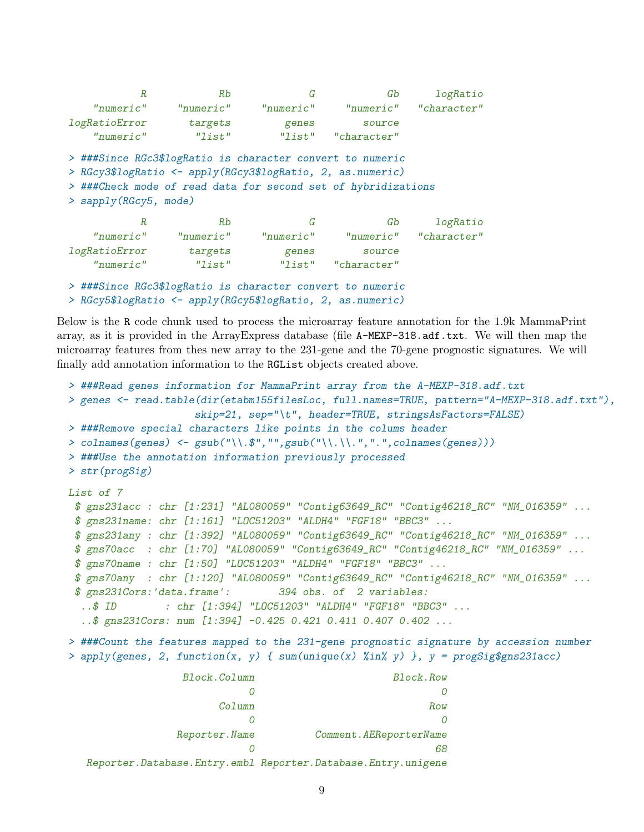| R                                                          | Rb                                                        | G         | Gb                                                            | logRatio              |
|------------------------------------------------------------|-----------------------------------------------------------|-----------|---------------------------------------------------------------|-----------------------|
| "numeric"                                                  | "numeric"                                                 | "numeric" |                                                               | "numeric" "character" |
| logRatioError                                              | targets                                                   | genes     | source                                                        |                       |
| "numeric"                                                  | "list"                                                    | "list"    | "character"                                                   |                       |
|                                                            | > ###Since RGc3\$logRatio is character convert to numeric |           |                                                               |                       |
| > RGcy3\$logRatio <- apply(RGcy3\$logRatio, 2, as.numeric) |                                                           |           |                                                               |                       |
|                                                            |                                                           |           | > ###Check mode of read data for second set of hybridizations |                       |

> sapply(RGcy5, mode)

| Кb        | G.,       | Gb              | logRatio    |
|-----------|-----------|-----------------|-------------|
| "numeric" | "numeric" | $"$ numeric $"$ | "character" |
| targets   | genes     | source          |             |
| "list"    | "list"    | "character"     |             |
|           |           |                 |             |

> ###Since RGc3\$logRatio is character convert to numeric > RGcy5\$logRatio <- apply(RGcy5\$logRatio, 2, as.numeric)

Below is the R code chunk used to process the microarray feature annotation for the 1.9k MammaPrint array, as it is provided in the ArrayExpress database (file A-MEXP-318.adf.txt. We will then map the microarray features from thes new array to the 231-gene and the 70-gene prognostic signatures. We will finally add annotation information to the RGList objects created above.

```
> ###Read genes information for MammaPrint array from the A-MEXP-318.adf.txt
> genes <- read.table(dir(etabm155filesLoc, full.names=TRUE, pattern="A-MEXP-318.adf.txt"),
                   skip=21, sep="\t", header=TRUE, stringsAsFactors=FALSE)
> ###Remove special characters like points in the colums header
> colnames(genes) <- gsub("\\.$","",gsub("\\.\\.",".",colnames(genes)))
> ###Use the annotation information previously processed
> str(progSig)
List of 7
$ gns231acc : chr [1:231] "AL080059" "Contig63649_RC" "Contig46218_RC" "NM_016359" ...
$ gns231name: chr [1:161] "LOC51203" "ALDH4" "FGF18" "BBC3" ...
$ gns231any : chr [1:392] "AL080059" "Contig63649_RC" "Contig46218_RC" "NM_016359" ...
$ gns70acc : chr [1:70] "AL080059" "Contig63649_RC" "Contig46218_RC" "NM_016359" ...
$ gns70name : chr [1:50] "LOC51203" "ALDH4" "FGF18" "BBC3" ...
$ gns70any : chr [1:120] "AL080059" "Contig63649_RC" "Contig46218_RC" "NM_016359" ...
$ gns231Cors:'data.frame': 394 obs. of 2 variables:
 ..$ ID : chr [1:394] "LOC51203" "ALDH4" "FGF18" "BBC3" ...
  ..$ gns231Cors: num [1:394] -0.425 0.421 0.411 0.407 0.402 ...
> ###Count the features mapped to the 231-gene prognostic signature by accession number
> apply(genes, 2, function(x, y) { sum(unique(x) %in% y) }, y = progSig$gns231acc)
                 Block.Column Block.Row
                            0 0
                       Column Row
```

| Comment. AEReporterName | Reporter.Name |
|-------------------------|---------------|
| 68.                     |               |
|                         |               |

Reporter.Database.Entry.embl Reporter.Database.Entry.unigene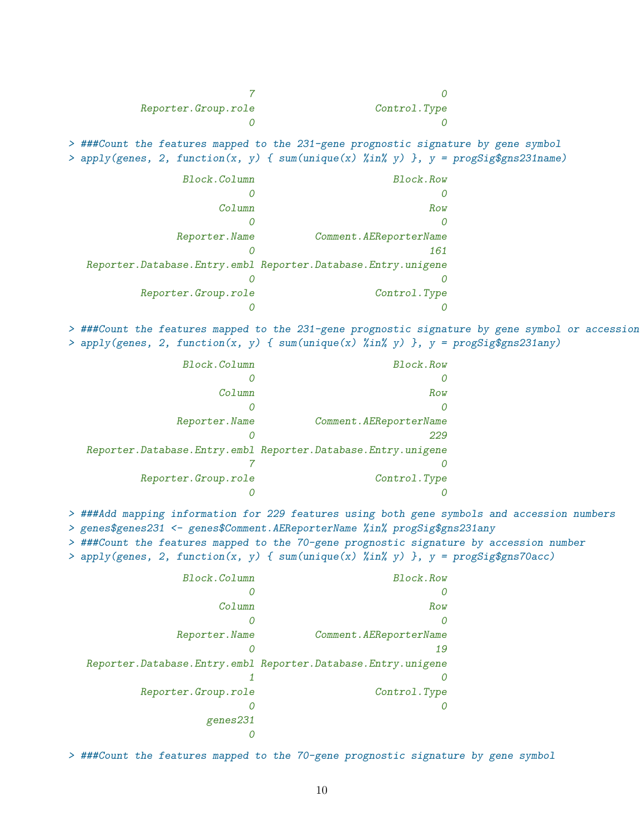7 0 Reporter.Group.role Control.Type 0 0 > ###Count the features mapped to the 231-gene prognostic signature by gene symbol > apply(genes, 2, function(x, y) {  $sum(numique(x) % in''(y) ]$ ,  $y = progSig§ gns231name)$ Block.Column Block.Row 0 0 Column Row 0 0 Reporter.Name Comment.AEReporterName 0 161 Reporter.Database.Entry.embl Reporter.Database.Entry.unigene 0 0 Reporter.Group.role Control.Type 0 0 > ###Count the features mapped to the 231-gene prognostic signature by gene symbol or accession > apply(genes, 2, function(x, y) { sum(unique(x) %in% y) }, y = progSig\$gns231any) Block.Column Block.Row 0 0 Column Row 0 0 Reporter.Name Comment.AEReporterName 0 229 Reporter.Database.Entry.embl Reporter.Database.Entry.unigene 7 0 Reporter.Group.role Control.Type 0 0 > ###Add mapping information for 229 features using both gene symbols and accession numbers > genes\$genes231 <- genes\$Comment.AEReporterName %in% progSig\$gns231any > ###Count the features mapped to the 70-gene prognostic signature by accession number  $>$  apply(genes, 2, function(x, y) { sum(unique(x) %in% y) }, y = progSig\$gns70acc)

| Block.Column         | Block.Row                                                          |
|----------------------|--------------------------------------------------------------------|
|                      |                                                                    |
| Column               | Row                                                                |
|                      |                                                                    |
| Reporter. Name       | Comment. AEReporterName                                            |
|                      | 19                                                                 |
|                      | Reporter. Database. Entry. embl Reporter. Database. Entry. unigene |
|                      |                                                                    |
| Reporter. Group.role | Control.Type                                                       |
|                      |                                                                    |
| genes231             |                                                                    |
|                      |                                                                    |

> ###Count the features mapped to the 70-gene prognostic signature by gene symbol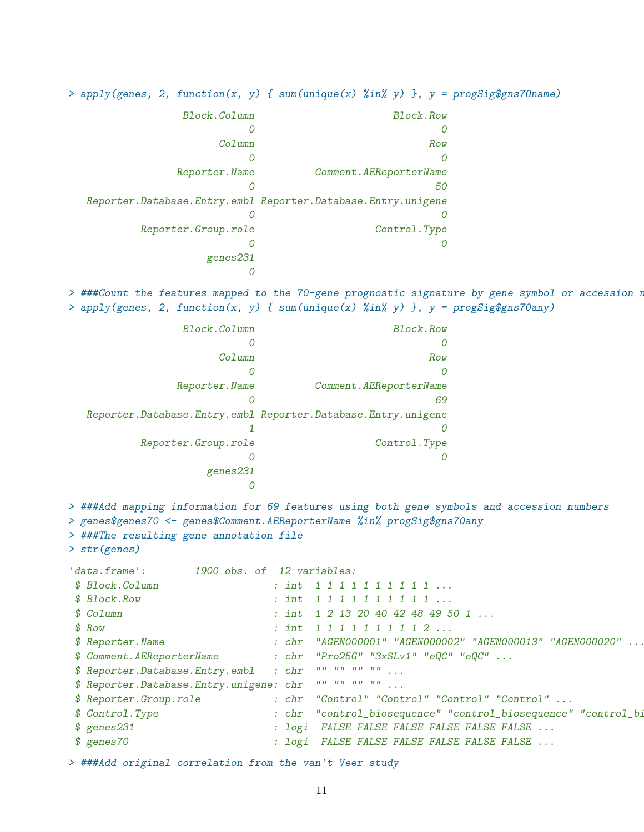> apply(genes, 2, function(x, y) { sum(unique(x) %in% y) }, y = progSig\$gns70name)

| Block.Row                                                          | Block.Column        |
|--------------------------------------------------------------------|---------------------|
|                                                                    |                     |
| Row                                                                | $C$ olumn           |
| $\theta$                                                           |                     |
| Comment. AEReporterName                                            | Reporter. Name      |
| 50                                                                 |                     |
| Reporter. Database. Entry. embl Reporter. Database. Entry. unigene |                     |
|                                                                    |                     |
| Control.Type                                                       | Reporter.Group.role |
|                                                                    |                     |
|                                                                    | genes231            |
|                                                                    |                     |

> ###Count the features mapped to the 70-gene prognostic signature by gene symbol or accession n > apply(genes, 2, function(x, y) { sum(unique(x) %in% y) }, y = progSig\$gns70any)

| Block.Column         | Block.Row                                                          |
|----------------------|--------------------------------------------------------------------|
|                      |                                                                    |
| Column               | Row                                                                |
|                      | 0                                                                  |
| Reporter. Name       | Comment. AEReporterName                                            |
|                      | 69                                                                 |
|                      | Reporter. Database. Entry. embl Reporter. Database. Entry. unigene |
|                      |                                                                    |
| Reporter. Group.role | Control.Type                                                       |
|                      |                                                                    |
| genes231             |                                                                    |
|                      |                                                                    |

> ###Add mapping information for 69 features using both gene symbols and accession numbers > genes\$genes70 <- genes\$Comment.AEReporterName %in% progSig\$gns70any

> ###The resulting gene annotation file

```
> str(genes)
```

| \$ Block.Column<br>: int $1 1 1 1 1 1 1 1 1 1 $<br>: int $1 1 1 1 1 1 1 1 1 1 $<br>: int $1\ 2\ 13\ 20\ 40\ 42\ 48\ 49\ 50\ 1\ \ldots$ |
|----------------------------------------------------------------------------------------------------------------------------------------|
| \$ Block.Row<br>$$$ $Co1$ umn                                                                                                          |
|                                                                                                                                        |
|                                                                                                                                        |
| $$$ Row<br>: int $1 1 1 1 1 1 1 1 1 2 $                                                                                                |
| \$ Reporter. Name                                                                                                                      |
| \$ Comment.AEReporterName : chr "Pro25G" "3xSLv1" "eQC" "eQC"                                                                          |
| $\label{eq:u} u(u-u)u=u(u-u)u\otimes_{\mathbb{R}^n\times\mathbb{R}^n}u.$<br>\$ Reporter.Database.Entry.embl<br>$\therefore$ chr        |
| \$ Reporter. Database. Entry. unigene: chr                                                                                             |
| \$ Reporter.Group.role<br>$: chr$ "Control" "Control" "Control" "Control" $\ldots$                                                     |
| \$ Control.Type<br>: chr "control_biosequence" "control_biosequence" "control_bi                                                       |
| $$$ genes231<br>: logi FALSE FALSE FALSE FALSE FALSE FALSE                                                                             |
| \$ genes70<br>: logi FALSE FALSE FALSE FALSE FALSE FALSE                                                                               |

> ###Add original correlation from the van't Veer study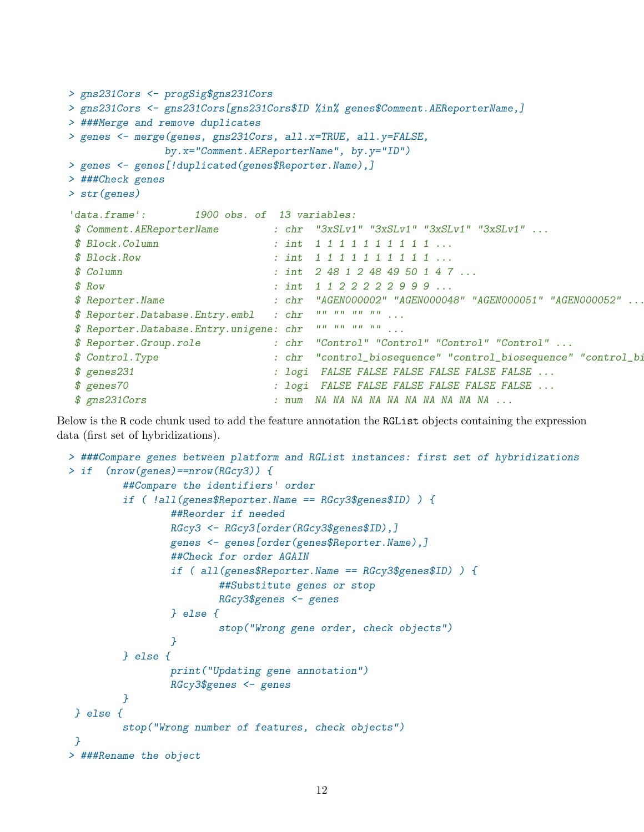```
> gns231Cors <- progSig$gns231Cors
> gns231Cors <- gns231Cors[gns231Cors$ID %in% genes$Comment.AEReporterName,]
> ###Merge and remove duplicates
> genes <- merge(genes, gns231Cors, all.x=TRUE, all.y=FALSE,
             by.x="Comment.AEReporterName", by.y="ID")
> genes <- genes[!duplicated(genes$Reporter.Name),]
> ###Check genes
> str(genes)
'data.frame': 1900 obs. of 13 variables:
$ Comment.AEReporterName : chr "3xSLv1" "3xSLv1" "3xSLv1" "3xSLv1" ...
$ Block.Column : int 1 1 1 1 1 1 1 1 1 1 ...
$ Block.Row : int 1 1 1 1 1 1 1 1 1 1 ...
$ Column : int 2 48 1 2 48 49 50 1 4 7 ...
$ Row : int 1 1 2 2 2 2 2 9 9 9 ...
$ Reporter.Name : chr "AGEN000002" "AGEN000048" "AGEN000051" "AGEN000052" ...
$ Reporter.Database.Entry.embl : chr "" "" "" "" ...
$ Reporter.Database.Entry.unigene: chr "" "" "" "" ...
$ Reporter.Group.role : chr "Control" "Control" "Control" "Control" ...
$ Control.Type : chr "control_biosequence" "control_biosequence" "control_biosequence" "control_biosequence" ...
$ genes231 : logi FALSE FALSE FALSE FALSE FALSE FALSE ...
$ genes70 : logi FALSE FALSE FALSE FALSE FALSE FALSE ...
$ gns231Cors : num NA NA NA NA NA NA NA NA NA NA ...
```
Below is the R code chunk used to add the feature annotation the RGList objects containing the expression data (first set of hybridizations).

```
> ###Compare genes between platform and RGList instances: first set of hybridizations
> if (nrow(genes)==nrow(RGcy3)) {
         ##Compare the identifiers' order
         if ( !all(genes$Reporter.Name == RGcy3$genes$ID) ) {
                 ##Reorder if needed
                 RGcy3 <- RGcy3[order(RGcy3$genes$ID),]
                 genes <- genes[order(genes$Reporter.Name),]
                 ##Check for order AGAIN
                 if ( all(genes$Reporter.Name == RGcy3$genes$ID) ) {
                         ##Substitute genes or stop
                         RGcy3$genes <- genes
                 } else {
                         stop("Wrong gene order, check objects")
                 }
         } else {
                 print("Updating gene annotation")
                 RGcy3$genes <- genes
         }
 } else {
         stop("Wrong number of features, check objects")
}
> ###Rename the object
```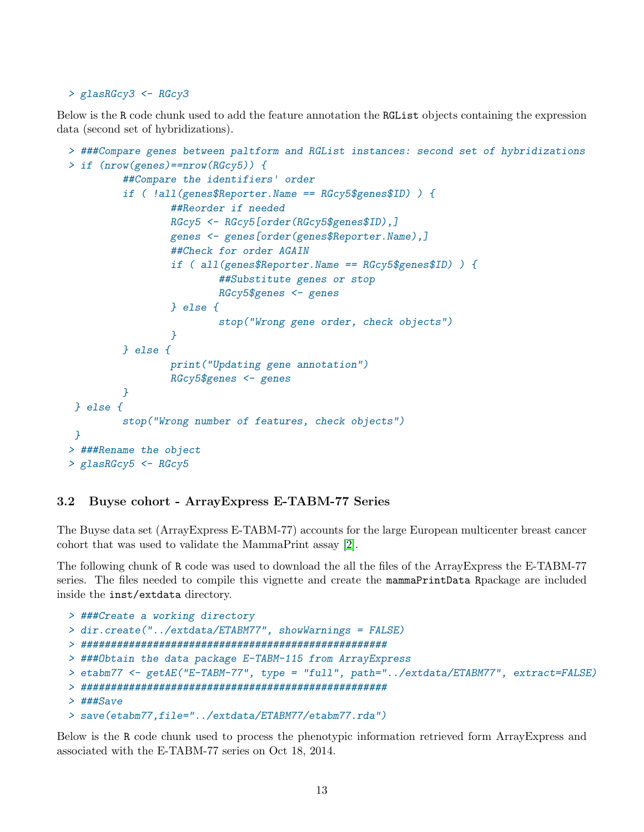#### > glasRGcy3 <- RGcy3

Below is the R code chunk used to add the feature annotation the RGList objects containing the expression data (second set of hybridizations).

```
> ###Compare genes between paltform and RGList instances: second set of hybridizations
> if (nrow(genes)==nrow(RGcy5)) {
         ##Compare the identifiers' order
         if ( !all(genes$Reporter.Name == RGcy5$genes$ID) ) {
                 ##Reorder if needed
                 RGcy5 <- RGcy5[order(RGcy5$genes$ID),]
                 genes <- genes[order(genes$Reporter.Name),]
                 ##Check for order AGAIN
                 if ( all(genes$Reporter.Name == RGcy5$genes$ID) ) {
                         ##Substitute genes or stop
                         RGcy5$genes <- genes
                 } else {
                         stop("Wrong gene order, check objects")
                 }
         } else {
                 print("Updating gene annotation")
                 RGcy5$genes <- genes
         }
} else {
         stop("Wrong number of features, check objects")
}
> ###Rename the object
> glasRGcy5 \leq RGcy5
```
### <span id="page-12-0"></span>3.2 Buyse cohort - ArrayExpress E-TABM-77 Series

The Buyse data set (ArrayExpress E-TABM-77) accounts for the large European multicenter breast cancer cohort that was used to validate the MammaPrint assay [\[2\]](#page-30-2).

The following chunk of R code was used to download the all the files of the ArrayExpress the E-TABM-77 series. The files needed to compile this vignette and create the mammaPrintData Rpackage are included inside the inst/extdata directory.

```
> ###Create a working directory
> dir.create("../extdata/ETABM77", showWarnings = FALSE)
> ###################################################
> ###Obtain the data package E-TABM-115 from ArrayExpress
> etabm77 <- getAE("E-TABM-77", type = "full", path="../extdata/ETABM77", extract=FALSE)
> ###################################################
> ###Save
> save(etabm77,file="../extdata/ETABM77/etabm77.rda")
```
Below is the R code chunk used to process the phenotypic information retrieved form ArrayExpress and associated with the E-TABM-77 series on Oct 18, 2014.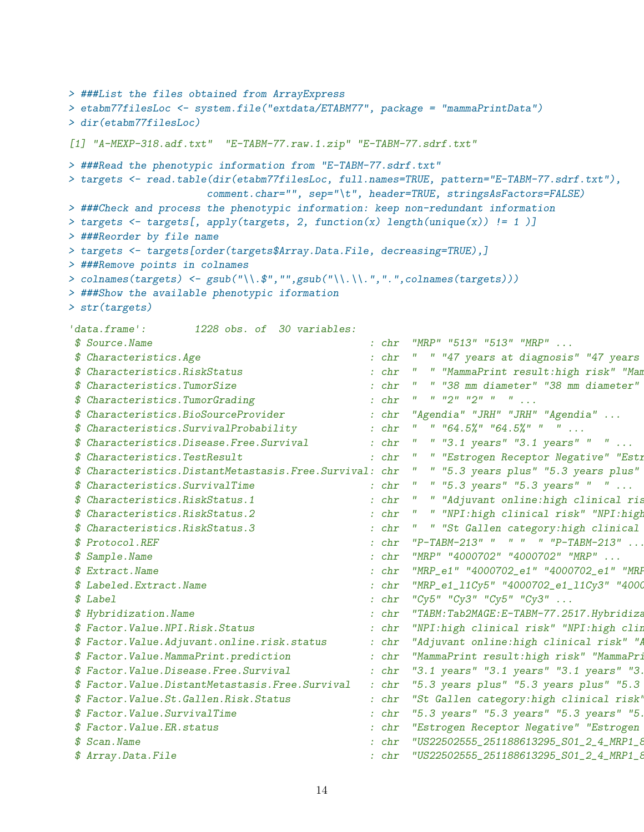```
> ###List the files obtained from ArrayExpress
> etabm77filesLoc <- system.file("extdata/ETABM77", package = "mammaPrintData")
> dir(etabm77filesLoc)
[1] "A-MEXP-318.adf.txt" "E-TABM-77.raw.1.zip" "E-TABM-77.sdrf.txt"
> ###Read the phenotypic information from "E-TABM-77.sdrf.txt"
> targets <- read.table(dir(etabm77filesLoc, full.names=TRUE, pattern="E-TABM-77.sdrf.txt"),
                             comment.char="", sep="\t", header=TRUE, stringsAsFactors=FALSE)
> ###Check and process the phenotypic information: keep non-redundant information
> targets <- targets[, apply(targets, 2, function(x) length(unique(x)) != 1 )]
> ###Reorder by file name
> targets <- targets[order(targets$Array.Data.File, decreasing=TRUE),]
> ###Remove points in colnames
> colnames(targets) <- gsub("\\.$","",gsub("\\.\\.",".",colnames(targets)))
> ###Show the available phenotypic iformation
> str(targets)
'data.frame': 1228 obs. of 30 variables:
 $ Source.Name : chr "MRP" "513" "513" "MRP" ...
 $ Characteristics.Age \cdot chr " "47 years at diagnosis" "47 years
 $ Characteristics.RiskStatus : chr " " "MammaPrint result:high risk" "Mam
 $ Characteristics.TumorSize : chr " " "38 mm diameter" "38 mm diameter" " " ...
 $ Characteristics.TumorGrading : chr " " "2" "2" " " ...
 $ Characteristics.BioSourceProvider : chr "Agendia" "JRH" "JRH" "Agendia" ...
 $ Characteristics. Survival Probability : chr " " " 64.5%" "64.5%" " " ...
 $ Characteristics.Disease.Free.Survival : chr " " "3.1 years" "3.1 years" " " ...
 $ Characteristics.TestResult : chr " " "Estrogen Receptor Negative" "Estrogen Receptor Negative" " " ...
 $ Characteristics.DistantMetastasis.Free.Survival: chr " " "5.3 years plus" "5.3 years plus"
 $ Characteristics.SurvivalTime : chr " " "5.3 years" "5.3 years" " " ...
 $ Characteristics.RiskStatus.1 : chr " " "Adjuvant online:high clinical ris
 $ Characteristics.RiskStatus.2 : chr " " "NPI:high clinical risk" "NPI:high clinical risk" " " ...
 $ Characteristics.RiskStatus.3 : chr " " "St Gallen category:high clinical risk" "St Gallen category:high clinical risk" " " ...
 $ Protocol.REF : chr "P-TABM-213" " " " " "P-TABM-213" ...
 $ Sample.Name : chr "MRP" "4000702" "4000702" "MRP" ...
 $ Extract.Name : chr "MRP_e1" "4000702_e1" "4000702_e1" "MRP_
 $ Labeled.Extract.Name : chr "MRP_e1_11Cy5" "4000702_e1_11Cy3" "4000
 $ Label $ \therefore \therefore \therefore \therefore \therefore \therefore \therefore \therefore \therefore \therefore \therefore \therefore \therefore \therefore \therefore \therefore \therefore \therefore \therefore \therefore \therefore \therefore \therefore \therefore \therefore \therefore \therefore \therefore \therefore \therefore \therefore \therefore \therefore \therefore \there$ Hybridization.Name : chr "TABM:Tab2MAGE:E-TABM-77.2517.Hybridization" "TABM:Tab2MAGE:E-TABM-77.2517.Hybridization" "TABM:Tab2MAGE:E-TABM-77.2514.Hybridization" "TABM:Tab2MAGE:E-TABM-77.2514.Hybridization" ...
 $ Factor.Value.NPI.Risk.Status : chr "NPI:high clinical risk" "NPI:high clinical risk" "NPI:high clinical risk" "NPI:high clinical risk" ...
 $ Factor.Value.Adjuvant.online.risk.status : chr "Adjuvant online:high clinical risk" "Adjuvant online:high clinical risk" "Adjuvant online:high clinical risk" "Adjuvant online:high clinical risk" ...
 $ Factor.Value.MammaPrint.prediction : chr "MammaPrint result:high risk" "MammaPrint result:high risk" "MammaPrint result:high risk" "MammaPrint result:high risk" ...
 $ Factor.Value.Disease.Free.Survival : chr "3.1 years" "3.1 years" "3.1 years" "3.
 $ Factor.Value.DistantMetastasis.Free.Survival : chr "5.3 years plus" "5.3 years plus" "5.3
 $ Factor.Value.St.Gallen.Risk.Status : chr "St Gallen category:high clinical risk" "St Gallen category:high clinical risk" "St Gallen category:high clinical risk" "St Gallen category:high clinical risk" ...
 $ Factor.Value.SurvivalTime \qquad \qquad : \text{chr} \quad "5.3 \text{ years} " "5.3 \text{ years} " "5.3 \text{ years} " "5.4 \text{ years} " "5.5 \text{ years} " "5.5 \text{ years} " "5.6 \text{ years} " "5.6 \text{ years} " "5.7 \text{ years} " "5.8 \text{ years} " "5.8 \text{ years} " "5.8 \text{ years} " "5.9 \text{ years} " "5.9 \text{ years} " "5.9 \text{ years} " "5.9 \text{ years} " "5.9 \text{ years} " "5.9 \text{ years}$ Factor.Value.ER.status : chr "Estrogen Receptor Negative" "Estrogen Receptor Negative" "Estrogen Receptor Negative" "Estrogen Receptor Negative" ...
 $ Scan.Name : chr "US22502555_251188613295_S01_2_4_MRP1_8_04000702_1" "US22502555_251188613295_S01_2_4_MRP1_8_04000702_1" "US22502555_251188613295_S01_2_3_04000702_1_MRP1_8" "US22502555_251188613295_S01_2_3_04000702_1_MRP1_8" ...
 $ Array.Data.File \qquad \qquad : \text{chr} "US22502555_251188613295_S01_2_4_MRP1_8
```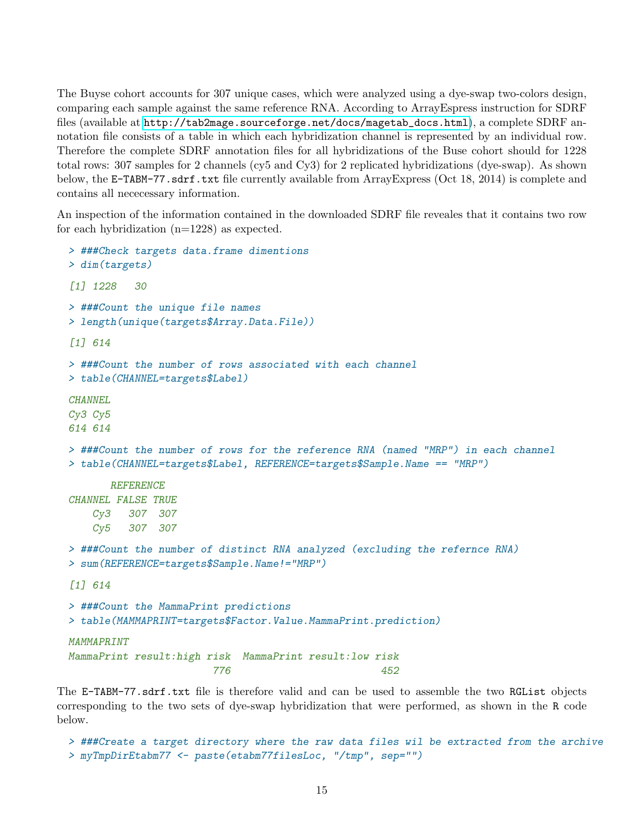The Buyse cohort accounts for 307 unique cases, which were analyzed using a dye-swap two-colors design, comparing each sample against the same reference RNA. According to ArrayEspress instruction for SDRF files (available at [http://tab2mage.sourceforge.net/docs/magetab\\_docs.html](http://tab2mage.sourceforge.net/docs/magetab_docs.html)), a complete SDRF annotation file consists of a table in which each hybridization channel is represented by an individual row. Therefore the complete SDRF annotation files for all hybridizations of the Buse cohort should for 1228 total rows: 307 samples for 2 channels (cy5 and Cy3) for 2 replicated hybridizations (dye-swap). As shown below, the E-TABM-77.sdrf.txt file currently available from ArrayExpress (Oct 18, 2014) is complete and contains all nececessary information.

An inspection of the information contained in the downloaded SDRF file reveales that it contains two row for each hybridization (n=1228) as expected.

```
> ###Check targets data.frame dimentions
> dim(targets)
[1] 1228 30
> ###Count the unique file names
> length(unique(targets$Array.Data.File))
[1] 614
> ###Count the number of rows associated with each channel
> table(CHANNEL=targets$Label)
CHANNEL
Cy3 Cy5
614 614
> ###Count the number of rows for the reference RNA (named "MRP") in each channel
> table(CHANNEL=targets$Label, REFERENCE=targets$Sample.Name == "MRP")
      REFERENCE
CHANNEL FALSE TRUE
   Cy3 307 307
   Cy5 307 307
> ###Count the number of distinct RNA analyzed (excluding the refernce RNA)
> sum(REFERENCE=targets$Sample.Name!="MRP")
[1] 614
> ###Count the MammaPrint predictions
> table(MAMMAPRINT=targets$Factor.Value.MammaPrint.prediction)
MAMMAPRINT
MammaPrint result:high risk MammaPrint result:low risk
                       776 452
```
The E-TABM-77.sdrf.txt file is therefore valid and can be used to assemble the two RGList objects corresponding to the two sets of dye-swap hybridization that were performed, as shown in the R code below.

```
> ###Create a target directory where the raw data files wil be extracted from the archive
> myTmpDirEtabm77 <- paste(etabm77filesLoc, "/tmp", sep="")
```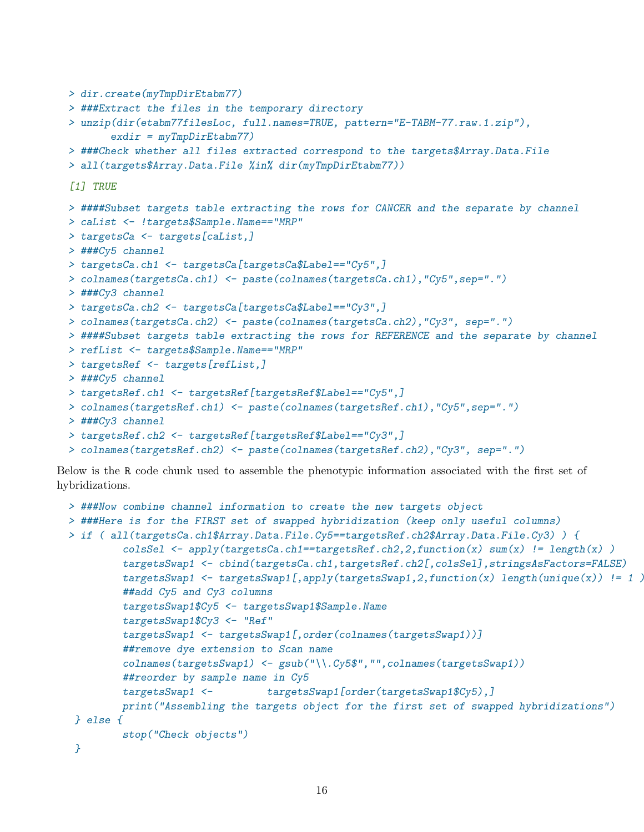```
> dir.create(myTmpDirEtabm77)
> ###Extract the files in the temporary directory
> unzip(dir(etabm77filesLoc, full.names=TRUE, pattern="E-TABM-77.raw.1.zip"),
       exdir = myTmpDirEtabm77> ###Check whether all files extracted correspond to the targets$Array.Data.File
> all(targets$Array.Data.File %in% dir(myTmpDirEtabm77))
[1] TRUE
> ####Subset targets table extracting the rows for CANCER and the separate by channel
> caList <- !targets$Sample.Name=="MRP"
> targetsCa <- targets[caList,]
> ###Cy5 channel
> targetsCa.ch1 <- targetsCa[targetsCa$Label=="Cy5",]
> colnames(targetsCa.ch1) <- paste(colnames(targetsCa.ch1),"Cy5",sep=".")
> ###Cy3 channel
> targetsCa.ch2 <- targetsCa[targetsCa$Label=="Cy3",]
> colnames(targetsCa.ch2) <- paste(colnames(targetsCa.ch2),"Cy3", sep=".")
> ####Subset targets table extracting the rows for REFERENCE and the separate by channel
> refList <- targets$Sample.Name=="MRP"
> targetsRef <- targets[refList,]
> ###Cy5 channel
> targetsRef.ch1 <- targetsRef[targetsRef$Label=="Cy5",]
> colnames(targetsRef.ch1) <- paste(colnames(targetsRef.ch1),"Cy5",sep=".")
> ###Cy3 channel
> targetsRef.ch2 <- targetsRef[targetsRef$Label=="Cy3",]
> colnames(targetsRef.ch2) <- paste(colnames(targetsRef.ch2),"Cy3", sep=".")
```
Below is the R code chunk used to assemble the phenotypic information associated with the first set of hybridizations.

```
> ###Now combine channel information to create the new targets object
> ###Here is for the FIRST set of swapped hybridization (keep only useful columns)
> if ( all(targetsCa.ch1$Array.Data.File.Cy5==targetsRef.ch2$Array.Data.File.Cy3) ) {
         colsSel \leq apply(targetsCa.ch1==targetsRef.ch2,2,function(x) sum(x) != length(x) )
         targetsSwap1 <- cbind(targetsCa.ch1,targetsRef.ch2[,colsSel],stringsAsFactors=FALSE)
         targetsSwap1 \leq targetsSwap1[,apply(targetsSwap1,2,function(x) length(unique(x)) != 1 \geq##add Cy5 and Cy3 columns
         targetsSwap1$Cy5 <- targetsSwap1$Sample.Name
         targetsSwap1$Cy3 <- "Ref"
         targetsSwap1 <- targetsSwap1[,order(colnames(targetsSwap1))]
         ##remove dye extension to Scan name
         colnames(targetsSwap1) <- gsub("\\.Cy5$","",colnames(targetsSwap1))
         ##reorder by sample name in Cy5
         targetsSwap1 <- targetsSwap1[order(targetsSwap1$Cy5),]
        print("Assembling the targets object for the first set of swapped hybridizations")
 } else {
         stop("Check objects")
}
```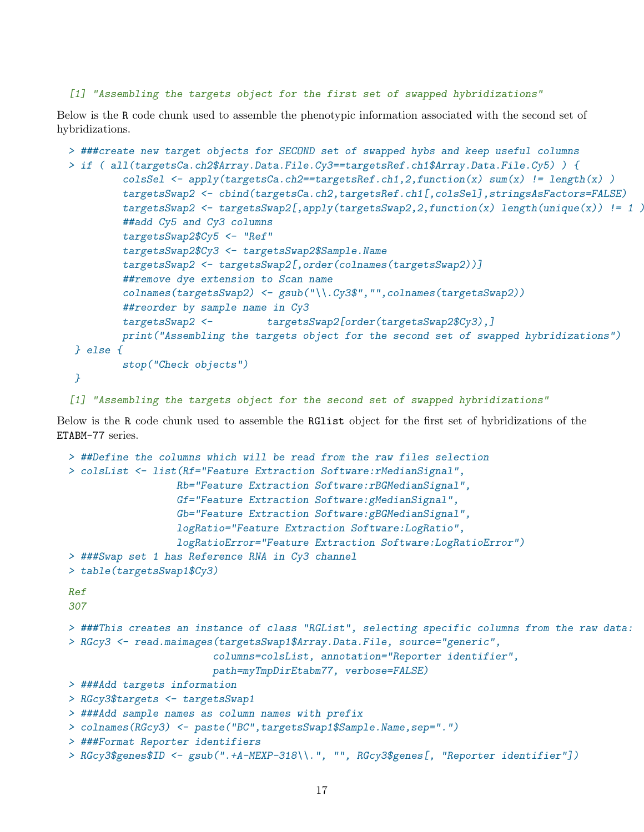#### [1] "Assembling the targets object for the first set of swapped hybridizations"

Below is the R code chunk used to assemble the phenotypic information associated with the second set of hybridizations.

```
> ###create new target objects for SECOND set of swapped hybs and keep useful columns
> if ( all(targetsCa.ch2$Array.Data.File.Cy3==targetsRef.ch1$Array.Data.File.Cy5) ) {
         colsSel \leq apply(targetsCa.ch2==targetsRef.ch1,2,function(x) sum(x) != length(x))
         targetsSwap2 <- cbind(targetsCa.ch2,targetsRef.ch1[,colsSel],stringsAsFactors=FALSE)
         targetsSwap2 <- targetsSwap2[,apply(targetsSwap2,2,function(x) length(unique(x)) != 1)
         ##add Cy5 and Cy3 columns
         targetsSwap2$Cy5 <- "Ref"
         targetsSwap2$Cy3 <- targetsSwap2$Sample.Name
         targetsSwap2 <- targetsSwap2[,order(colnames(targetsSwap2))]
         ##remove dye extension to Scan name
         colnames(targetsSwap2) <- gsub("\\.Cy3$","",colnames(targetsSwap2))
         ##reorder by sample name in Cy3
         targetsSwap2 <- targetsSwap2[order(targetsSwap2$Cy3),]
        print("Assembling the targets object for the second set of swapped hybridizations")
} else {
        stop("Check objects")
 }
```
[1] "Assembling the targets object for the second set of swapped hybridizations"

Below is the R code chunk used to assemble the RGlist object for the first set of hybridizations of the ETABM-77 series.

```
> ##Define the columns which will be read from the raw files selection
> colsList <- list(Rf="Feature Extraction Software:rMedianSignal",
                  Rb="Feature Extraction Software:rBGMedianSignal",
                  Gf="Feature Extraction Software:gMedianSignal",
                  Gb="Feature Extraction Software:gBGMedianSignal",
                  logRatio="Feature Extraction Software:LogRatio",
                  logRatioError="Feature Extraction Software:LogRatioError")
> ###Swap set 1 has Reference RNA in Cy3 channel
> table(targetsSwap1$Cy3)
Ref
307
> ###This creates an instance of class "RGList", selecting specific columns from the raw data:
> RGcy3 <- read.maimages(targetsSwap1$Array.Data.File, source="generic",
                        columns=colsList, annotation="Reporter identifier",
                        path=myTmpDirEtabm77, verbose=FALSE)
> ###Add targets information
> RGcy3$targets <- targetsSwap1
> ###Add sample names as column names with prefix
> colnames(RGcy3) <- paste("BC",targetsSwap1$Sample.Name,sep=".")
> ###Format Reporter identifiers
> RGcy3$genes$ID <- gsub(".+A-MEXP-318\\.", "", RGcy3$genes[, "Reporter identifier"])
```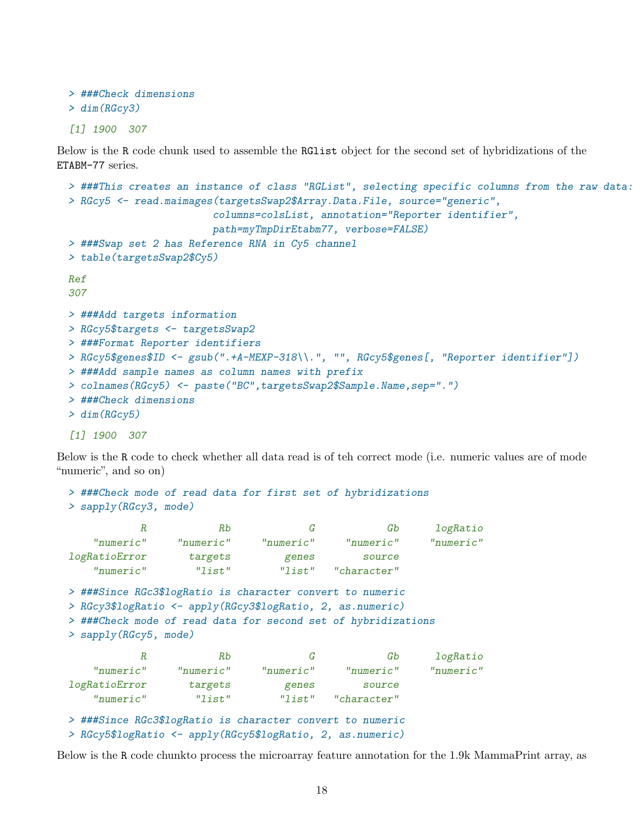```
> ###Check dimensions
> dim(RGcy3)
```
[1] 1900 307

Below is the R code chunk used to assemble the RGlist object for the second set of hybridizations of the ETABM-77 series.

```
> ###This creates an instance of class "RGList", selecting specific columns from the raw data:
> RGcy5 <- read.maimages(targetsSwap2$Array.Data.File, source="generic",
                        columns=colsList, annotation="Reporter identifier",
                        path=myTmpDirEtabm77, verbose=FALSE)
> ###Swap set 2 has Reference RNA in Cy5 channel
> table(targetsSwap2$Cy5)
Ref
307
> ###Add targets information
> RGcy5$targets <- targetsSwap2
> ###Format Reporter identifiers
> RGcy5$genes$ID <- gsub(".+A-MEXP-318\\.", "", RGcy5$genes[, "Reporter identifier"])
> ###Add sample names as column names with prefix
> colnames(RGcy5) <- paste("BC",targetsSwap2$Sample.Name,sep=".")
> ###Check dimensions
> dim(RGcy5)
[1] 1900 307
```
Below is the R code to check whether all data read is of teh correct mode (i.e. numeric values are of mode "numeric", and so on)

```
> ###Check mode of read data for first set of hybridizations
```

```
> sapply(RGcy3, mode)
```

| R                                                                                                                                                                                                                 | Rb        | G         | Gb          | logRatio  |
|-------------------------------------------------------------------------------------------------------------------------------------------------------------------------------------------------------------------|-----------|-----------|-------------|-----------|
| "numeric"                                                                                                                                                                                                         | "numeric" | "numeric" | "numeric"   | "numeric" |
| logRatioError                                                                                                                                                                                                     | targets   | genes     | source      |           |
| "numeric"                                                                                                                                                                                                         | "list"    | "list"    | "character" |           |
| > ###Since RGc3\$logRatio is character convert to numeric<br>> RGcy3\$logRatio <- apply(RGcy3\$logRatio, 2, as.numeric)<br>> ###Check mode of read data for second set of hybridizations<br>> sapply(RGcy5, mode) |           |           |             |           |
| $\boldsymbol{R}$                                                                                                                                                                                                  | Rb        | G         | Gb          | logRatio  |
| "numeric"                                                                                                                                                                                                         | "numeric" | "numeric" | "numeric"   | "numeric" |
| logRatioError                                                                                                                                                                                                     | targets   | genes     | source      |           |
| "numeric"                                                                                                                                                                                                         | "list"    | "list"    | "character" |           |
| > ###Since RGc3\$logRatio is character convert to numeric<br>> RGcy5\$logRatio <- apply(RGcy5\$logRatio, 2, as.numeric)                                                                                           |           |           |             |           |

Below is the R code chunkto process the microarray feature annotation for the 1.9k MammaPrint array, as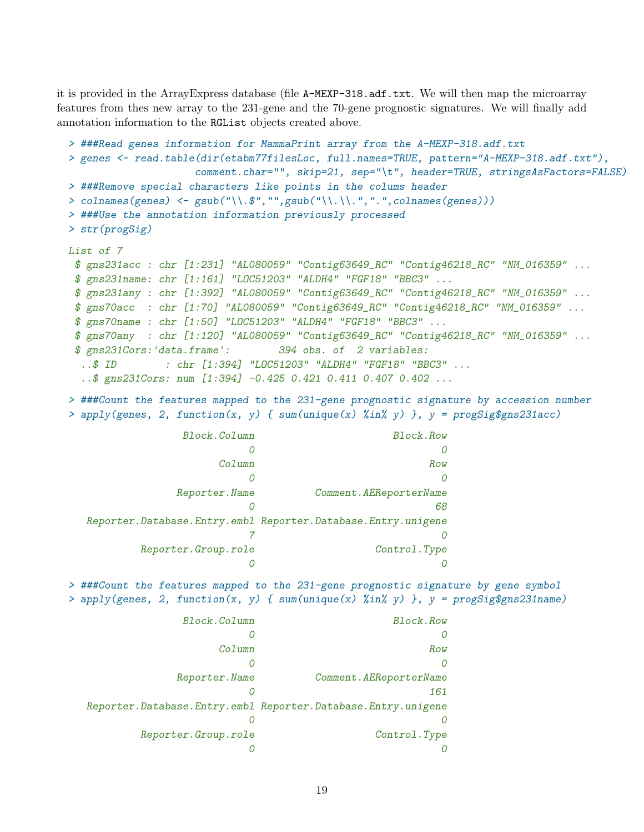it is provided in the ArrayExpress database (file A-MEXP-318.adf.txt. We will then map the microarray features from thes new array to the 231-gene and the 70-gene prognostic signatures. We will finally add annotation information to the RGList objects created above.

```
> ###Read genes information for MammaPrint array from the A-MEXP-318.adf.txt
> genes <- read.table(dir(etabm77filesLoc, full.names=TRUE, pattern="A-MEXP-318.adf.txt"),
                     comment.char="", skip=21, sep="\t", header=TRUE, stringsAsFactors=FALSE)
> ###Remove special characters like points in the colums header
> colnames(genes) \leq gsub("\\.$","",gsub("\\.\\.",".",colnames(genes)))
> ###Use the annotation information previously processed
> str(progSig)
List of 7
 $ gns231acc : chr [1:231] "AL080059" "Contig63649_RC" "Contig46218_RC" "NM_016359" ...
 $ gns231name: chr [1:161] "LOC51203" "ALDH4" "FGF18" "BBC3" ...
 $ gns231any : chr [1:392] "AL080059" "Contig63649_RC" "Contig46218_RC" "NM_016359" ...
 $ gns70acc : chr [1:70] "AL080059" "Contig63649_RC" "Contig46218_RC" "NM_016359" ...
 $ gns70name : chr [1:50] "LOC51203" "ALDH4" "FGF18" "BBC3" ...
 $ gns70any : chr [1:120] "AL080059" "Contig63649_RC" "Contig46218_RC" "NM_016359" ...
 $ gns231Cors:'data.frame': 394 obs. of 2 variables:
 ..$ ID : chr [1:394] "LOC51203" "ALDH4" "FGF18" "BBC3" ...
  ..$ gns231Cors: num [1:394] -0.425 0.421 0.411 0.407 0.402 ...
```
> ###Count the features mapped to the 231-gene prognostic signature by accession number > apply(genes, 2, function(x, y) {  $sum(unique(x)$  %in% y) },  $y = progSig$ \$gns231acc)

| Block.Column        | Block.Row                                                    |
|---------------------|--------------------------------------------------------------|
|                     |                                                              |
| Column              | Row                                                          |
|                     |                                                              |
| Reporter. Name      | Comment. AEReporterName                                      |
|                     | 68                                                           |
|                     | Reporter.Database.Entry.embl Reporter.Database.Entry.unigene |
|                     |                                                              |
| Reporter.Group.role | Control.Type                                                 |
|                     |                                                              |

> ###Count the features mapped to the 231-gene prognostic signature by gene symbol > apply(genes, 2, function(x, y) {  $sum(unique(x) \ \frac{\pi}{3}n \ \frac{\pi}{3})$  },  $y = progSig\$ gns231name)

| Block.Column        | Block.Row                                                          |
|---------------------|--------------------------------------------------------------------|
|                     |                                                                    |
| Column              | Row                                                                |
|                     | $\theta$                                                           |
| Reporter. Name      | Comment. AEReporterName                                            |
|                     | 161                                                                |
|                     | Reporter. Database. Entry. embl Reporter. Database. Entry. unigene |
|                     |                                                                    |
| Reporter.Group.role | Control.Type                                                       |
|                     |                                                                    |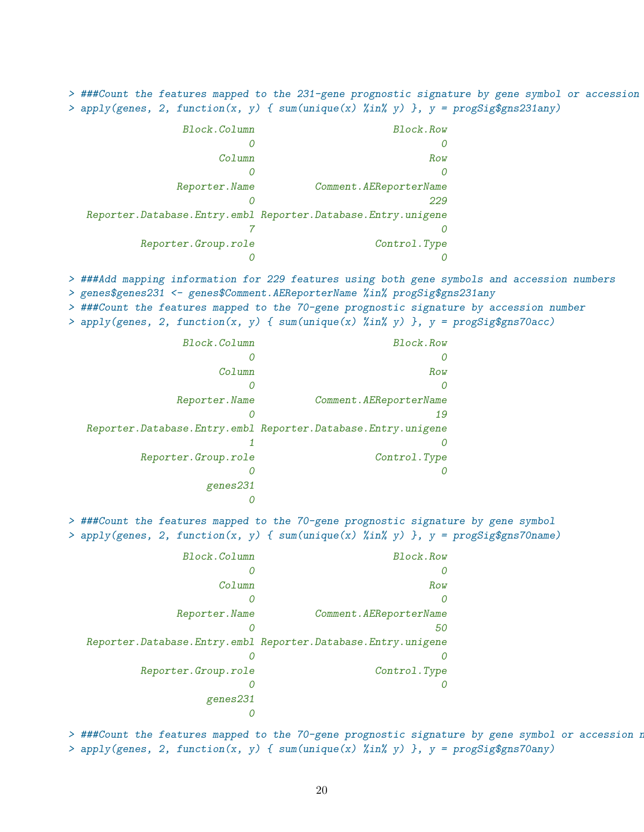> ###Count the features mapped to the 231-gene prognostic signature by gene symbol or accession > apply(genes, 2, function(x, y) {  $sum(unique(x)$  %in% y) },  $y = progSig$ \$gns231any)

| Block.Column        | Block.Row                                                          |
|---------------------|--------------------------------------------------------------------|
|                     |                                                                    |
| Column              | Row                                                                |
|                     |                                                                    |
| Reporter. Name      | Comment. AEReporterName                                            |
|                     | 229                                                                |
|                     | Reporter. Database. Entry. embl Reporter. Database. Entry. unigene |
|                     |                                                                    |
| Reporter.Group.role | Control.Type                                                       |
|                     |                                                                    |

> ###Add mapping information for 229 features using both gene symbols and accession numbers

> genes\$genes231 <- genes\$Comment.AEReporterName %in% progSig\$gns231any

> ###Count the features mapped to the 70-gene prognostic signature by accession number

> apply(genes, 2, function(x, y) {  $sum(unique(x)$  %in% y) },  $y = progSig$ \$gns70acc)

| Block.Column         | Block.Row                                                          |
|----------------------|--------------------------------------------------------------------|
|                      | $\theta$                                                           |
| Column               | Row                                                                |
|                      | 0                                                                  |
| Reporter. Name       | Comment. AEReporterName                                            |
|                      | 19                                                                 |
|                      | Reporter. Database. Entry. embl Reporter. Database. Entry. unigene |
|                      |                                                                    |
| Reporter. Group.role | Control.Type                                                       |
|                      |                                                                    |
| genes231             |                                                                    |
|                      |                                                                    |

> ###Count the features mapped to the 70-gene prognostic signature by gene symbol > apply(genes, 2, function(x, y) { sum(unique(x) %in% y) }, y = progSig\$gns70name)

| Block.Column         | Block.Row                                                          |
|----------------------|--------------------------------------------------------------------|
|                      |                                                                    |
| Column               | Row                                                                |
|                      |                                                                    |
| Reporter. Name       | Comment. AEReporterName                                            |
|                      | 50                                                                 |
|                      | Reporter. Database. Entry. embl Reporter. Database. Entry. unigene |
| 0                    |                                                                    |
| Reporter. Group.role | Control.Type                                                       |
|                      |                                                                    |
| genes231             |                                                                    |
|                      |                                                                    |

> ###Count the features mapped to the 70-gene prognostic signature by gene symbol or accession n > apply(genes, 2, function(x, y) { sum(unique(x) %in% y) }, y = progSig\$gns70any)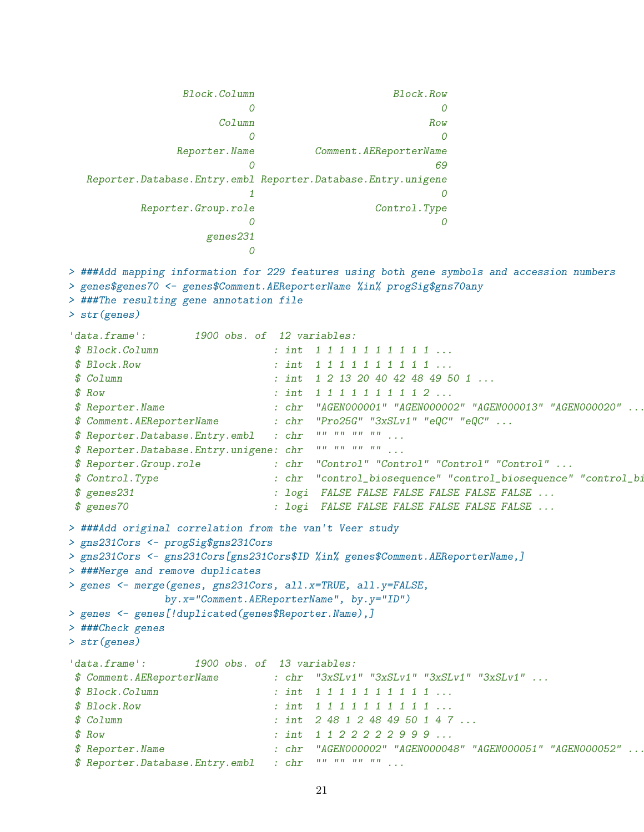Block.Column Block.Row 0 0 Column Row 0 0 Reporter.Name Comment.AEReporterName 0 69 Reporter.Database.Entry.embl Reporter.Database.Entry.unigene 1 0 Reporter.Group.role Control.Type 0 0 genes231  $\Omega$ > ###Add mapping information for 229 features using both gene symbols and accession numbers > genes\$genes70 <- genes\$Comment.AEReporterName %in% progSig\$gns70any > ###The resulting gene annotation file > str(genes) 'data.frame': 1900 obs. of 12 variables: \$ Block.Column : int 1 1 1 1 1 1 1 1 1 1 ... \$ Block.Row : int 1 1 1 1 1 1 1 1 1 1 ... \$ Column : int 1 2 13 20 40 42 48 49 50 1 ... \$ Row : int 1 1 1 1 1 1 1 1 2 ... \$ Reporter.Name : chr "AGEN000001" "AGEN000002" "AGEN000013" "AGEN000020" ... \$ Comment.AEReporterName : chr "Pro25G" "3xSLv1" "eQC" "eQC" ... \$ Reporter.Database.Entry.embl : chr "" "" "" "" ... \$ Reporter.Database.Entry.unigene: chr "" "" "" "" ... \$ Reporter.Group.role : chr "Control" "Control" "Control" "Control" ... \$ Control.Type : chr "control\_biosequence" "control\_biosequence" "control\_biosequence" "control\_biosequence" ... \$ genes231 : logi FALSE FALSE FALSE FALSE FALSE FALSE ... \$ genes70 : logi FALSE FALSE FALSE FALSE FALSE FALSE ... > ###Add original correlation from the van't Veer study > gns231Cors <- progSig\$gns231Cors > gns231Cors <- gns231Cors[gns231Cors\$ID %in% genes\$Comment.AEReporterName,] > ###Merge and remove duplicates > genes <- merge(genes, gns231Cors, all.x=TRUE, all.y=FALSE, by.x="Comment.AEReporterName", by.y="ID") > genes <- genes[!duplicated(genes\$Reporter.Name),] > ###Check genes > str(genes) 'data.frame': 1900 obs. of 13 variables: \$ Comment.AEReporterName : chr "3xSLv1" "3xSLv1" "3xSLv1" "3xSLv1" ... \$ Block.Column : int 1 1 1 1 1 1 1 1 1 1 ... \$ Block.Row : int 1 1 1 1 1 1 1 1 1 1 ... \$ Column : int 2 48 1 2 48 49 50 1 4 7 ...  $$ Row$  : int 1122222999... \$ Reporter.Name : chr "AGEN000002" "AGEN000048" "AGEN000051" "AGEN000052" ... \$ Reporter.Database.Entry.embl : chr "" "" "" "" ...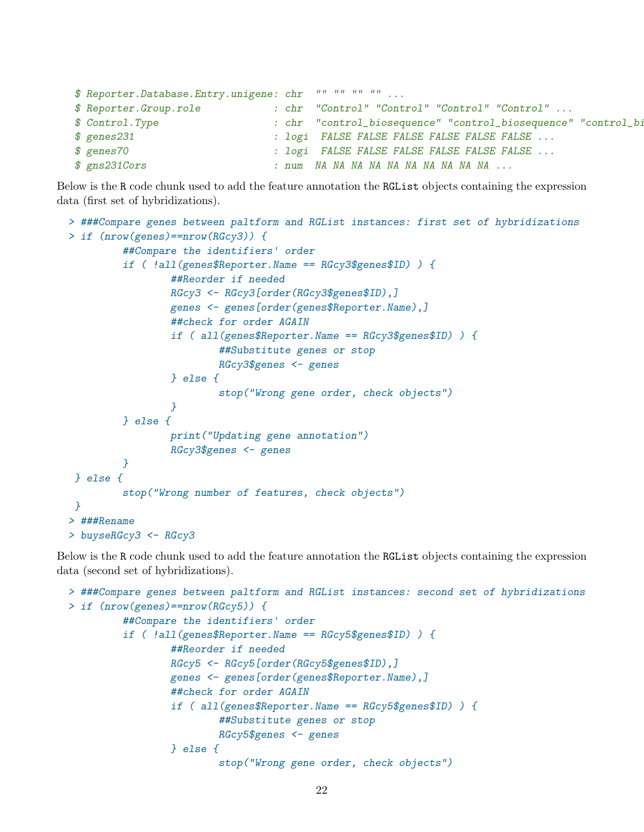```
$ Reporter.Database.Entry.unigene: chr "" "" "" "" ...
$ Reporter.Group.role : chr "Control" "Control" "Control" "Control" ...
$ Control.Type : chr "control_biosequence" "control_biosequence" "control_biosequence" "control_biosequence" ...
$ genes231 : logi FALSE FALSE FALSE FALSE FALSE FALSE ...
$ genes70 : logi FALSE FALSE FALSE FALSE FALSE FALSE ...
$ gns231Cors : num NA NA NA NA NA NA NA NA NA NA ...
```
Below is the R code chunk used to add the feature annotation the RGList objects containing the expression data (first set of hybridizations).

```
> ###Compare genes between paltform and RGList instances: first set of hybridizations
> if (nrow(genes)==nrow(RGcy3)) {
         ##Compare the identifiers' order
         if ( !all(genes$Reporter.Name == RGcy3$genes$ID) ) {
                 ##Reorder if needed
                 RGcy3 <- RGcy3[order(RGcy3$genes$ID),]
                 genes <- genes[order(genes$Reporter.Name),]
                 ##check for order AGAIN
                 if ( all(genes$Reporter.Name == RGcy3$genes$ID) ) {
                         ##Substitute genes or stop
                         RGcy3$genes <- genes
                 } else {
                         stop("Wrong gene order, check objects")
                 }
         } else {
                 print("Updating gene annotation")
                 RGcy3$genes <- genes
         }
} else {
         stop("Wrong number of features, check objects")
 }
> ###Rename
> buyseRGcy3 <- RGcy3
```
Below is the R code chunk used to add the feature annotation the RGList objects containing the expression data (second set of hybridizations).

```
> ###Compare genes between paltform and RGList instances: second set of hybridizations
> if (nrow(genes)==nrow(RGcy5)) {
         ##Compare the identifiers' order
         if ( !all(genes$Reporter.Name == RGcy5$genes$ID) ) {
                 ##Reorder if needed
                 RGcy5 <- RGcy5[order(RGcy5$genes$ID),]
                 genes <- genes[order(genes$Reporter.Name),]
                 ##check for order AGAIN
                 if ( all(genes$Reporter.Name == RGcy5$genes$ID) ) {
                         ##Substitute genes or stop
                         RGcy5$genes <- genes
                 } else {
                         stop("Wrong gene order, check objects")
```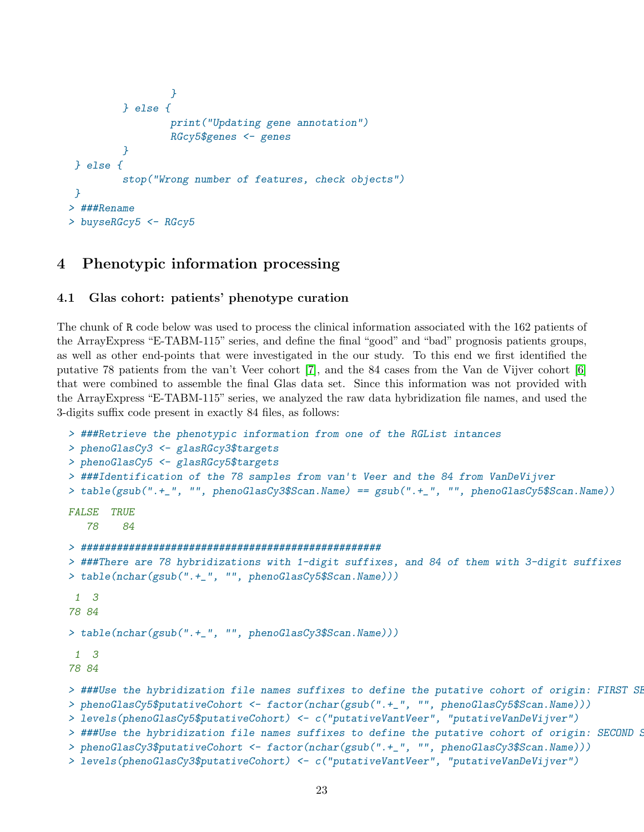```
}
         } else {
                 print("Updating gene annotation")
                 RGcy5$genes <- genes
         }
} else {
         stop("Wrong number of features, check objects")
}
> ###Rename
> buyseRGcy5 <- RGcy5
```
## <span id="page-22-0"></span>4 Phenotypic information processing

### <span id="page-22-1"></span>4.1 Glas cohort: patients' phenotype curation

The chunk of R code below was used to process the clinical information associated with the 162 patients of the ArrayExpress "E-TABM-115" series, and define the final "good" and "bad" prognosis patients groups, as well as other end-points that were investigated in the our study. To this end we first identified the putative 78 patients from the van't Veer cohort [\[7\]](#page-30-3), and the 84 cases from the Van de Vijver cohort [\[6\]](#page-30-4) that were combined to assemble the final Glas data set. Since this information was not provided with the ArrayExpress "E-TABM-115" series, we analyzed the raw data hybridization file names, and used the 3-digits suffix code present in exactly 84 files, as follows:

```
> ###Retrieve the phenotypic information from one of the RGList intances
> phenoGlasCy3 <- glasRGcy3$targets
> phenoGlasCy5 <- glasRGcy5$targets
> ###Identification of the 78 samples from van't Veer and the 84 from VanDeVijver
> table(gsub(".+_", "", phenoGlasCy3$Scan.Name) == gsub(".+_", "", phenoGlasCy5$Scan.Name))
FALSE TRUE
   78 84
> ##################################################
> ###There are 78 hybridizations with 1-digit suffixes, and 84 of them with 3-digit suffixes
> table(nchar(gsub(".+_", "", phenoGlasCy5$Scan.Name)))
1 3
78 84
> table(nchar(gsub(".+_", "", phenoGlasCy3$Scan.Name)))
1 3
78 84
> ###Use the hybridization file names suffixes to define the putative cohort of origin: FIRST SE
> phenoGlasCy5$putativeCohort <- factor(nchar(gsub(".+_", "", phenoGlasCy5$Scan.Name)))
> levels(phenoGlasCy5$putativeCohort) <- c("putativeVantVeer", "putativeVanDeVijver")
> ###Use the hybridization file names suffixes to define the putative cohort of origin: SECOND S
> phenoGlasCy3$putativeCohort <- factor(nchar(gsub(".+_", "", phenoGlasCy3$Scan.Name)))
> levels(phenoGlasCy3$putativeCohort) <- c("putativeVantVeer", "putativeVanDeVijver")
```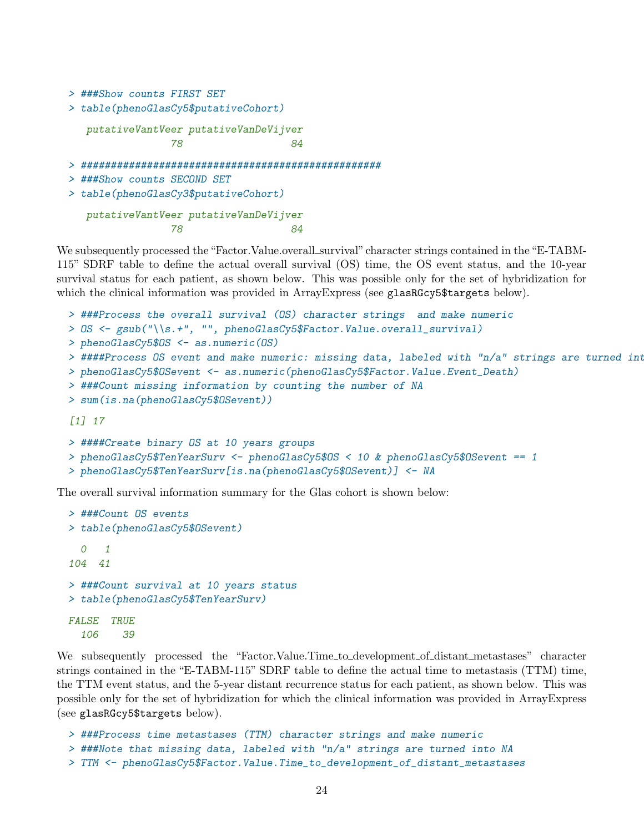```
> ###Show counts FIRST SET
```

```
> table(phenoGlasCy5$putativeCohort)
```

```
putativeVantVeer putativeVanDeVijver
          78 84
```

```
> ##################################################
```

```
> ###Show counts SECOND SET
```

```
> table(phenoGlasCy3$putativeCohort)
```

```
putativeVantVeer putativeVanDeVijver
          78 84
```
We subsequently processed the "Factor.Value.overall\_survival" character strings contained in the "E-TABM-115" SDRF table to define the actual overall survival (OS) time, the OS event status, and the 10-year survival status for each patient, as shown below. This was possible only for the set of hybridization for which the clinical information was provided in ArrayExpress (see glasRGcy5\$targets below).

```
> ###Process the overall survival (OS) character strings and make numeric
> OS <- gsub("\\s.+", "", phenoGlasCy5$Factor.Value.overall_survival)
> phenoGlasCy5$OS <- as.numeric(OS)
> ####Process OS event and make numeric: missing data, labeled with "n/a" strings are turned into
> phenoGlasCy5$OSevent <- as.numeric(phenoGlasCy5$Factor.Value.Event_Death)
> ###Count missing information by counting the number of NA
> sum(is.na(phenoGlasCy5$OSevent))
[1] 17
> ####Create binary OS at 10 years groups
> phenoGlasCy5$TenYearSurv <- phenoGlasCy5$OS < 10 & phenoGlasCy5$OSevent == 1
```

```
> phenoGlasCy5$TenYearSurv[is.na(phenoGlasCy5$OSevent)] <- NA
```
The overall survival information summary for the Glas cohort is shown below:

```
> ###Count OS events
> table(phenoGlasCy5$OSevent)
  0 1
104 41
> ###Count survival at 10 years status
> table(phenoGlasCy5$TenYearSurv)
FALSE TRUE
  106 39
```
We subsequently processed the "Factor.Value.Time\_to\_development\_of\_distant\_metastases" character strings contained in the "E-TABM-115" SDRF table to define the actual time to metastasis (TTM) time, the TTM event status, and the 5-year distant recurrence status for each patient, as shown below. This was possible only for the set of hybridization for which the clinical information was provided in ArrayExpress (see glasRGcy5\$targets below).

```
> ###Process time metastases (TTM) character strings and make numeric
> ###Note that missing data, labeled with "n/a" strings are turned into NA
> TTM <- phenoGlasCy5$Factor.Value.Time_to_development_of_distant_metastases
```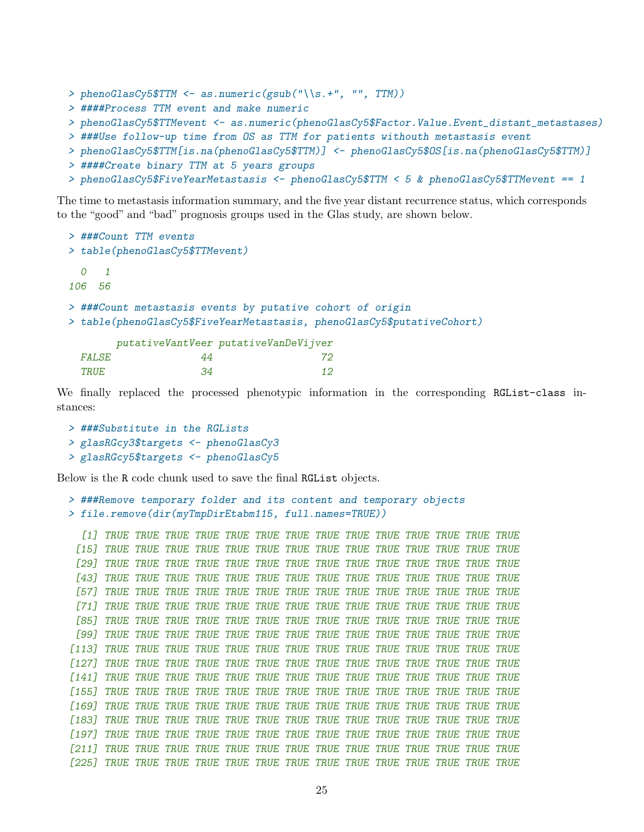```
> phenoGlasCy5$TTM <- as.numeric(gsub("\\s.+", "", TTM))
> ####Process TTM event and make numeric
> phenoGlasCy5$TTMevent <- as.numeric(phenoGlasCy5$Factor.Value.Event_distant_metastases)
> ###Use follow-up time from OS as TTM for patients withouth metastasis event
> phenoGlasCy5$TTM[is.na(phenoGlasCy5$TTM)] <- phenoGlasCy5$OS[is.na(phenoGlasCy5$TTM)]
> ####Create binary TTM at 5 years groups
```
> phenoGlasCy5\$FiveYearMetastasis <- phenoGlasCy5\$TTM < 5 & phenoGlasCy5\$TTMevent == 1

The time to metastasis information summary, and the five year distant recurrence status, which corresponds to the "good" and "bad" prognosis groups used in the Glas study, are shown below.

```
> ###Count TTM events
> table(phenoGlasCy5$TTMevent)
  0 1
106 56
> ###Count metastasis events by putative cohort of origin
> table(phenoGlasCy5$FiveYearMetastasis, phenoGlasCy5$putativeCohort)
       putativeVantVeer putativeVanDeVijver
 FALSE 44 72
```
We finally replaced the processed phenotypic information in the corresponding RGList-class instances:

```
> ###Substitute in the RGLists
> glasRGcy3$targets <- phenoGlasCy3
> glasRGcy5$targets <- phenoGlasCy5
```
Below is the R code chunk used to save the final RGList objects.

TRUE 34 12

```
> ###Remove temporary folder and its content and temporary objects
> file.remove(dir(myTmpDirEtabm115, full.names=TRUE))
```
[1] TRUE TRUE TRUE TRUE TRUE TRUE TRUE TRUE TRUE TRUE TRUE TRUE TRUE TRUE [15] TRUE TRUE TRUE TRUE TRUE TRUE TRUE TRUE TRUE TRUE TRUE TRUE TRUE TRUE [29] TRUE TRUE TRUE TRUE TRUE TRUE TRUE TRUE TRUE TRUE TRUE TRUE TRUE TRUE [43] TRUE TRUE TRUE TRUE TRUE TRUE TRUE TRUE TRUE TRUE TRUE TRUE TRUE TRUE [57] TRUE TRUE TRUE TRUE TRUE TRUE TRUE TRUE TRUE TRUE TRUE TRUE TRUE TRUE [71] TRUE TRUE TRUE TRUE TRUE TRUE TRUE TRUE TRUE TRUE TRUE TRUE TRUE TRUE [85] TRUE TRUE TRUE TRUE TRUE TRUE TRUE TRUE TRUE TRUE TRUE TRUE TRUE TRUE [99] TRUE TRUE TRUE TRUE TRUE TRUE TRUE TRUE TRUE TRUE TRUE TRUE TRUE TRUE [113] TRUE TRUE TRUE TRUE TRUE TRUE TRUE TRUE TRUE TRUE TRUE TRUE TRUE TRUE [127] TRUE TRUE TRUE TRUE TRUE TRUE TRUE TRUE TRUE TRUE TRUE TRUE TRUE TRUE [141] TRUE TRUE TRUE TRUE TRUE TRUE TRUE TRUE TRUE TRUE TRUE TRUE TRUE TRUE [155] TRUE TRUE TRUE TRUE TRUE TRUE TRUE TRUE TRUE TRUE TRUE TRUE TRUE TRUE [169] TRUE TRUE TRUE TRUE TRUE TRUE TRUE TRUE TRUE TRUE TRUE TRUE TRUE TRUE [183] TRUE TRUE TRUE TRUE TRUE TRUE TRUE TRUE TRUE TRUE TRUE TRUE TRUE TRUE [197] TRUE TRUE TRUE TRUE TRUE TRUE TRUE TRUE TRUE TRUE TRUE TRUE TRUE TRUE [211] TRUE TRUE TRUE TRUE TRUE TRUE TRUE TRUE TRUE TRUE TRUE TRUE TRUE TRUE [225] TRUE TRUE TRUE TRUE TRUE TRUE TRUE TRUE TRUE TRUE TRUE TRUE TRUE TRUE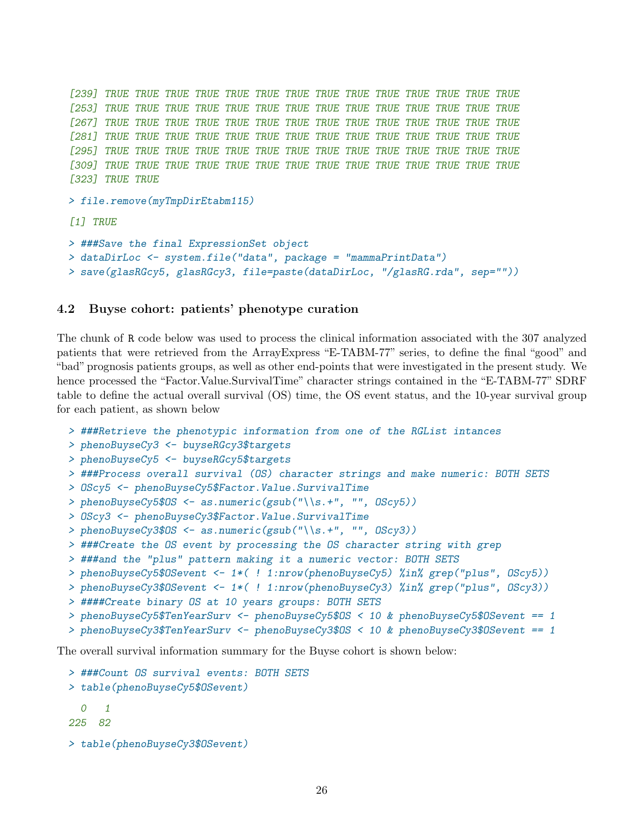```
[239] TRUE TRUE TRUE TRUE TRUE TRUE TRUE TRUE TRUE TRUE TRUE TRUE TRUE TRUE
[253] TRUE TRUE TRUE TRUE TRUE TRUE TRUE TRUE TRUE TRUE TRUE TRUE TRUE TRUE
[267] TRUE TRUE TRUE TRUE TRUE TRUE TRUE TRUE TRUE TRUE TRUE TRUE TRUE TRUE
[281] TRUE TRUE TRUE TRUE TRUE TRUE TRUE TRUE TRUE TRUE TRUE TRUE TRUE TRUE
[295] TRUE TRUE TRUE TRUE TRUE TRUE TRUE TRUE TRUE TRUE TRUE TRUE TRUE TRUE
[309] TRUE TRUE TRUE TRUE TRUE TRUE TRUE TRUE TRUE TRUE TRUE TRUE TRUE TRUE
[323] TRUE TRUE
> file.remove(myTmpDirEtabm115)
[1] TRUE
> ###Save the final ExpressionSet object
> dataDirLoc <- system.file("data", package = "mammaPrintData")
> save(glasRGcy5, glasRGcy3, file=paste(dataDirLoc, "/glasRG.rda", sep=""))
```
### <span id="page-25-0"></span>4.2 Buyse cohort: patients' phenotype curation

The chunk of R code below was used to process the clinical information associated with the 307 analyzed patients that were retrieved from the ArrayExpress "E-TABM-77" series, to define the final "good" and "bad" prognosis patients groups, as well as other end-points that were investigated in the present study. We hence processed the "Factor.Value.SurvivalTime" character strings contained in the "E-TABM-77" SDRF table to define the actual overall survival (OS) time, the OS event status, and the 10-year survival group for each patient, as shown below

```
> ###Retrieve the phenotypic information from one of the RGList intances
```

```
> phenoBuyseCy3 <- buyseRGcy3$targets
```

```
> phenoBuyseCy5 <- buyseRGcy5$targets
```

```
> ###Process overall survival (OS) character strings and make numeric: BOTH SETS
```

```
> OScy5 <- phenoBuyseCy5$Factor.Value.SurvivalTime
```

```
> phenoBuyseCy5$OS <- as.numeric(gsub("\\s.+", "", OScy5))
```

```
> OScy3 <- phenoBuyseCy3$Factor.Value.SurvivalTime
```

```
> phenoBuyseCy3$OS <- as.numeric(gsub("\\s.+", "", OScy3))
```

```
> ###Create the OS event by processing the OS character string with grep
```

```
> ###and the "plus" pattern making it a numeric vector: BOTH SETS
```

```
> phenoBuyseCy5$OSevent <- 1*( ! 1:nrow(phenoBuyseCy5) %in% grep("plus", OScy5))
```

```
> phenoBuyseCy3$OSevent <- 1*( ! 1:nrow(phenoBuyseCy3) %in% grep("plus", OScy3))
```

```
> ####Create binary OS at 10 years groups: BOTH SETS
```

```
> phenoBuyseCy5$TenYearSurv <- phenoBuyseCy5$OS < 10 & phenoBuyseCy5$OSevent == 1
```

```
> phenoBuyseCy3$TenYearSurv <- phenoBuyseCy3$OS < 10 & phenoBuyseCy3$OSevent == 1
```
The overall survival information summary for the Buyse cohort is shown below:

```
> ###Count OS survival events: BOTH SETS
> table(phenoBuyseCy5$OSevent)
  0 1
225 82
> table(phenoBuyseCy3$OSevent)
```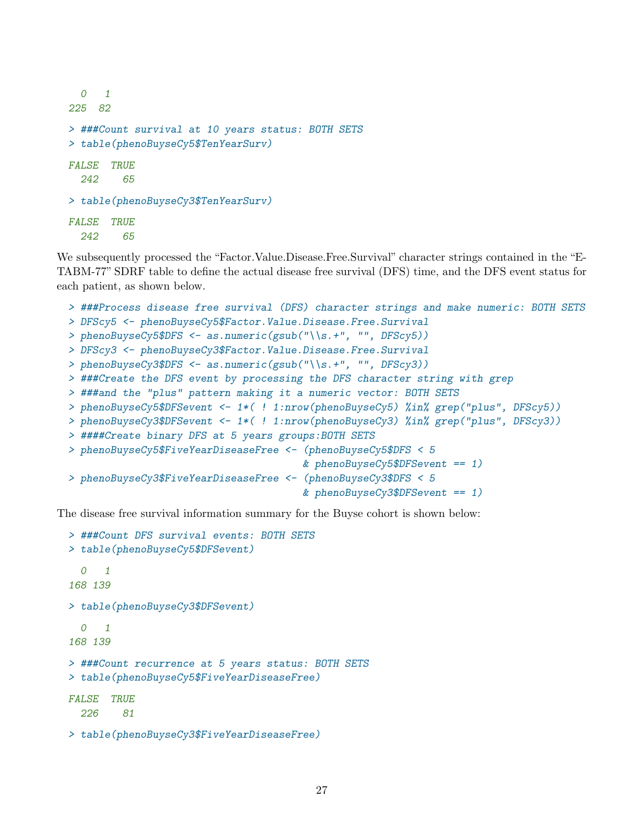```
0 1
225 82
> ###Count survival at 10 years status: BOTH SETS
> table(phenoBuyseCy5$TenYearSurv)
FALSE TRUE
  242 65
> table(phenoBuyseCy3$TenYearSurv)
FALSE TRUE
  242 65
```
We subsequently processed the "Factor.Value.Disease.Free.Survival" character strings contained in the "E-TABM-77" SDRF table to define the actual disease free survival (DFS) time, and the DFS event status for each patient, as shown below.

```
> ###Process disease free survival (DFS) character strings and make numeric: BOTH SETS
> DFScy5 <- phenoBuyseCy5$Factor.Value.Disease.Free.Survival
> phenoBuyseCy5$DFS <- as.numeric(gsub("\\s.+", "", DFScy5))
> DFScy3 <- phenoBuyseCy3$Factor.Value.Disease.Free.Survival
> phenoBuyseCy3$DFS <- as.numeric(gsub("\\s.+", "", DFScy3))
> ###Create the DFS event by processing the DFS character string with grep
> ###and the "plus" pattern making it a numeric vector: BOTH SETS
> phenoBuyseCy5$DFSevent <- 1*( ! 1:nrow(phenoBuyseCy5) %in% grep("plus", DFScy5))
> phenoBuyseCy3$DFSevent <- 1*( ! 1:nrow(phenoBuyseCy3) %in% grep("plus", DFScy3))
> ####Create binary DFS at 5 years groups:BOTH SETS
> phenoBuyseCy5$FiveYearDiseaseFree <- (phenoBuyseCy5$DFS < 5
                                       & phenoBuyseCy5$DFSevent == 1)> phenoBuyseCy3$FiveYearDiseaseFree <- (phenoBuyseCy3$DFS < 5
                                       & phenoBuyseCy3$DFSevent == 1)
```
The disease free survival information summary for the Buyse cohort is shown below:

```
> ###Count DFS survival events: BOTH SETS
> table(phenoBuyseCy5$DFSevent)
  \Omega 1
168 139
> table(phenoBuyseCy3$DFSevent)
  0 1
168 139
> ###Count recurrence at 5 years status: BOTH SETS
> table(phenoBuyseCy5$FiveYearDiseaseFree)
FALSE TRUE
  226 81
> table(phenoBuyseCy3$FiveYearDiseaseFree)
```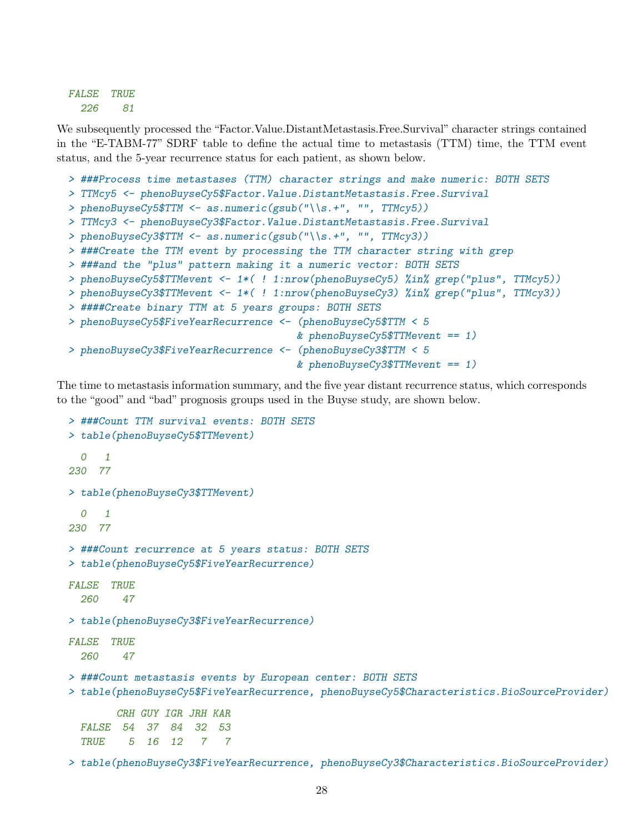FALSE TRUE 226 81

We subsequently processed the "Factor.Value.DistantMetastasis.Free.Survival" character strings contained in the "E-TABM-77" SDRF table to define the actual time to metastasis (TTM) time, the TTM event status, and the 5-year recurrence status for each patient, as shown below.

```
> ###Process time metastases (TTM) character strings and make numeric: BOTH SETS
> TTMcy5 <- phenoBuyseCy5$Factor. Value. DistantMetastasis. Free. Survival
> phenoBuyseCy5$TTM <- as.numeric(gsub("\\s.+", "", TTMcy5))
> TTMcy3 <- phenoBuyseCy3$Factor. Value. DistantMetastasis. Free. Survival
> phenoBuyseCy3$TTM <- as.numeric(gsub("\\s.+", "", TTMcy3))
> ###Create the TTM event by processing the TTM character string with grep
> ###and the "plus" pattern making it a numeric vector: BOTH SETS
> phenoBuyseCy5$TTMevent <- 1*( ! 1:nrow(phenoBuyseCy5) %in% grep("plus", TTMcy5))
> phenoBuyseCy3$TTMevent <- 1*( ! 1:nrow(phenoBuyseCy3) %in% grep("plus", TTMcy3))
> ####Create binary TTM at 5 years groups: BOTH SETS
> phenoBuyseCy5$FiveYearRecurrence <- (phenoBuyseCy5$TTM < 5
                                      & phenoBuyseCy5$TTMevent == 1)> phenoBuyseCy3$FiveYearRecurrence <- (phenoBuyseCy3$TTM < 5
                                      & phenoBuyseCy3$TTMevent == 1)
```
The time to metastasis information summary, and the five year distant recurrence status, which corresponds to the "good" and "bad" prognosis groups used in the Buyse study, are shown below.

```
> ###Count TTM survival events: BOTH SETS
> table(phenoBuyseCy5$TTMevent)
  \Omega 1
230 77
> table(phenoBuyseCy3$TTMevent)
  0 1
230 77
> ###Count recurrence at 5 years status: BOTH SETS
> table(phenoBuyseCy5$FiveYearRecurrence)
FALSE TRUE
  260 47
> table(phenoBuyseCy3$FiveYearRecurrence)
FALSE TRUE
  260 47
> ###Count metastasis events by European center: BOTH SETS
> table(phenoBuyseCy5$FiveYearRecurrence, phenoBuyseCy5$Characteristics.BioSourceProvider)
       CRH GUY IGR JRH KAR
 FALSE 54 37 84 32 53
  TRUE 5 16 12 7 7
```
> table(phenoBuyseCy3\$FiveYearRecurrence, phenoBuyseCy3\$Characteristics.BioSourceProvider)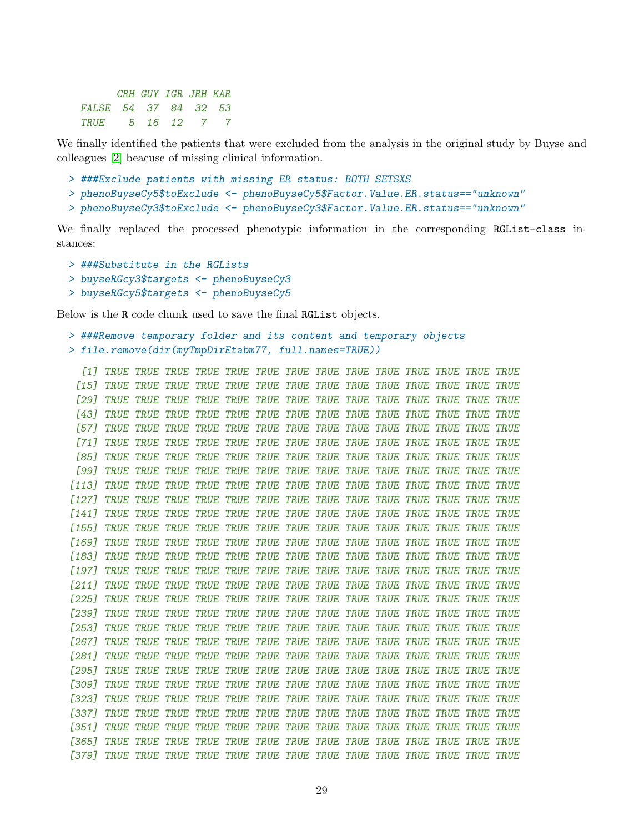|                      | CRH GUY IGR JRH KAR |  |  |
|----------------------|---------------------|--|--|
| FALSE 54 37 84 32 53 |                     |  |  |
| TRUE 5 16 12 7 7     |                     |  |  |

We finally identified the patients that were excluded from the analysis in the original study by Buyse and colleagues [\[2\]](#page-30-2) beacuse of missing clinical information.

- > ###Exclude patients with missing ER status: BOTH SETSXS
- > phenoBuyseCy5\$toExclude <- phenoBuyseCy5\$Factor.Value.ER.status=="unknown"
- > phenoBuyseCy3\$toExclude <- phenoBuyseCy3\$Factor.Value.ER.status=="unknown"

We finally replaced the processed phenotypic information in the corresponding RGList-class instances:

- > ###Substitute in the RGLists
- > buyseRGcy3\$targets <- phenoBuyseCy3
- > buyseRGcy5\$targets <- phenoBuyseCy5

Below is the R code chunk used to save the final RGList objects.

```
> ###Remove temporary folder and its content and temporary objects
> file.remove(dir(myTmpDirEtabm77, full.names=TRUE))
```
[1] TRUE TRUE TRUE TRUE TRUE TRUE TRUE TRUE TRUE TRUE TRUE TRUE TRUE TRUE [15] TRUE TRUE TRUE TRUE TRUE TRUE TRUE TRUE TRUE TRUE TRUE TRUE TRUE TRUE [29] TRUE TRUE TRUE TRUE TRUE TRUE TRUE TRUE TRUE TRUE TRUE TRUE TRUE TRUE [43] TRUE TRUE TRUE TRUE TRUE TRUE TRUE TRUE TRUE TRUE TRUE TRUE TRUE TRUE [57] TRUE TRUE TRUE TRUE TRUE TRUE TRUE TRUE TRUE TRUE TRUE TRUE TRUE TRUE [71] TRUE TRUE TRUE TRUE TRUE TRUE TRUE TRUE TRUE TRUE TRUE TRUE TRUE TRUE [85] TRUE TRUE TRUE TRUE TRUE TRUE TRUE TRUE TRUE TRUE TRUE TRUE TRUE TRUE [99] TRUE TRUE TRUE TRUE TRUE TRUE TRUE TRUE TRUE TRUE TRUE TRUE TRUE TRUE [113] TRUE TRUE TRUE TRUE TRUE TRUE TRUE TRUE TRUE TRUE TRUE TRUE TRUE TRUE [127] TRUE TRUE TRUE TRUE TRUE TRUE TRUE TRUE TRUE TRUE TRUE TRUE TRUE TRUE [141] TRUE TRUE TRUE TRUE TRUE TRUE TRUE TRUE TRUE TRUE TRUE TRUE TRUE TRUE [155] TRUE TRUE TRUE TRUE TRUE TRUE TRUE TRUE TRUE TRUE TRUE TRUE TRUE TRUE [169] TRUE TRUE TRUE TRUE TRUE TRUE TRUE TRUE TRUE TRUE TRUE TRUE TRUE TRUE [183] TRUE TRUE TRUE TRUE TRUE TRUE TRUE TRUE TRUE TRUE TRUE TRUE TRUE TRUE [197] TRUE TRUE TRUE TRUE TRUE TRUE TRUE TRUE TRUE TRUE TRUE TRUE TRUE TRUE [211] TRUE TRUE TRUE TRUE TRUE TRUE TRUE TRUE TRUE TRUE TRUE TRUE TRUE TRUE [225] TRUE TRUE TRUE TRUE TRUE TRUE TRUE TRUE TRUE TRUE TRUE TRUE TRUE TRUE [239] TRUE TRUE TRUE TRUE TRUE TRUE TRUE TRUE TRUE TRUE TRUE TRUE TRUE TRUE [253] TRUE TRUE TRUE TRUE TRUE TRUE TRUE TRUE TRUE TRUE TRUE TRUE TRUE TRUE [267] TRUE TRUE TRUE TRUE TRUE TRUE TRUE TRUE TRUE TRUE TRUE TRUE TRUE TRUE [281] TRUE TRUE TRUE TRUE TRUE TRUE TRUE TRUE TRUE TRUE TRUE TRUE TRUE TRUE [295] TRUE TRUE TRUE TRUE TRUE TRUE TRUE TRUE TRUE TRUE TRUE TRUE TRUE TRUE [309] TRUE TRUE TRUE TRUE TRUE TRUE TRUE TRUE TRUE TRUE TRUE TRUE TRUE TRUE [323] TRUE TRUE TRUE TRUE TRUE TRUE TRUE TRUE TRUE TRUE TRUE TRUE TRUE TRUE [337] TRUE TRUE TRUE TRUE TRUE TRUE TRUE TRUE TRUE TRUE TRUE TRUE TRUE TRUE [351] TRUE TRUE TRUE TRUE TRUE TRUE TRUE TRUE TRUE TRUE TRUE TRUE TRUE TRUE [365] TRUE TRUE TRUE TRUE TRUE TRUE TRUE TRUE TRUE TRUE TRUE TRUE TRUE TRUE [379] TRUE TRUE TRUE TRUE TRUE TRUE TRUE TRUE TRUE TRUE TRUE TRUE TRUE TRUE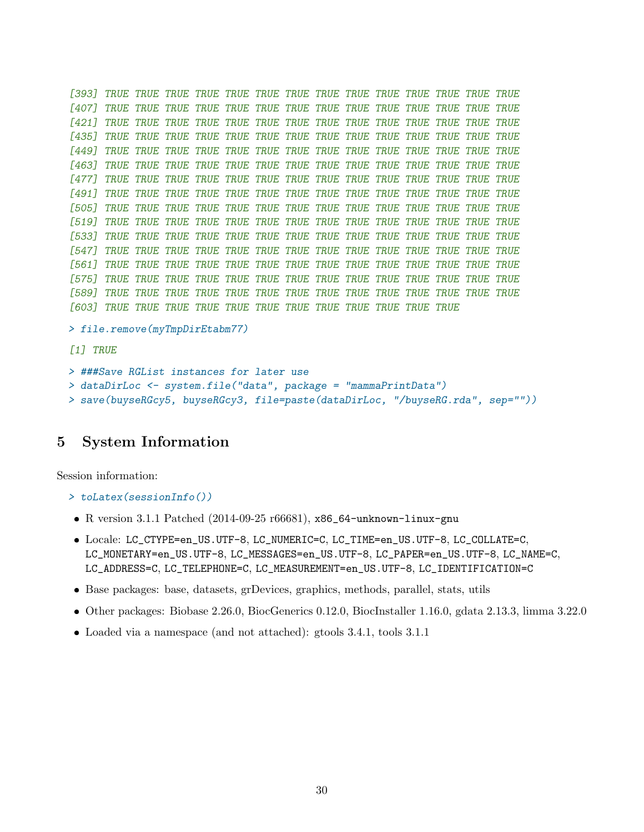[393] TRUE TRUE TRUE TRUE TRUE TRUE TRUE TRUE TRUE TRUE TRUE TRUE TRUE TRUE [407] TRUE TRUE TRUE TRUE TRUE TRUE TRUE TRUE TRUE TRUE TRUE TRUE TRUE TRUE [421] TRUE TRUE TRUE TRUE TRUE TRUE TRUE TRUE TRUE TRUE TRUE TRUE TRUE TRUE [435] TRUE TRUE TRUE TRUE TRUE TRUE TRUE TRUE TRUE TRUE TRUE TRUE TRUE TRUE [449] TRUE TRUE TRUE TRUE TRUE TRUE TRUE TRUE TRUE TRUE TRUE TRUE TRUE TRUE [463] TRUE TRUE TRUE TRUE TRUE TRUE TRUE TRUE TRUE TRUE TRUE TRUE TRUE TRUE [477] TRUE TRUE TRUE TRUE TRUE TRUE TRUE TRUE TRUE TRUE TRUE TRUE TRUE TRUE [491] TRUE TRUE TRUE TRUE TRUE TRUE TRUE TRUE TRUE TRUE TRUE TRUE TRUE TRUE [505] TRUE TRUE TRUE TRUE TRUE TRUE TRUE TRUE TRUE TRUE TRUE TRUE TRUE TRUE [519] TRUE TRUE TRUE TRUE TRUE TRUE TRUE TRUE TRUE TRUE TRUE TRUE TRUE TRUE [533] TRUE TRUE TRUE TRUE TRUE TRUE TRUE TRUE TRUE TRUE TRUE TRUE TRUE TRUE [547] TRUE TRUE TRUE TRUE TRUE TRUE TRUE TRUE TRUE TRUE TRUE TRUE TRUE TRUE [561] TRUE TRUE TRUE TRUE TRUE TRUE TRUE TRUE TRUE TRUE TRUE TRUE TRUE TRUE [575] TRUE TRUE TRUE TRUE TRUE TRUE TRUE TRUE TRUE TRUE TRUE TRUE TRUE TRUE [589] TRUE TRUE TRUE TRUE TRUE TRUE TRUE TRUE TRUE TRUE TRUE TRUE TRUE TRUE [603] TRUE TRUE TRUE TRUE TRUE TRUE TRUE TRUE TRUE TRUE TRUE TRUE

> file.remove(myTmpDirEtabm77)

[1] TRUE

```
> ###Save RGList instances for later use
> dataDirLoc <- system.file("data", package = "mammaPrintData")
```

```
> save(buyseRGcy5, buyseRGcy3, file=paste(dataDirLoc, "/buyseRG.rda", sep=""))
```
# <span id="page-29-0"></span>5 System Information

Session information:

- > toLatex(sessionInfo())
- R version 3.1.1 Patched (2014-09-25 r66681), x86\_64-unknown-linux-gnu
- Locale: LC\_CTYPE=en\_US.UTF-8, LC\_NUMERIC=C, LC\_TIME=en\_US.UTF-8, LC\_COLLATE=C, LC\_MONETARY=en\_US.UTF-8, LC\_MESSAGES=en\_US.UTF-8, LC\_PAPER=en\_US.UTF-8, LC\_NAME=C, LC\_ADDRESS=C, LC\_TELEPHONE=C, LC\_MEASUREMENT=en\_US.UTF-8, LC\_IDENTIFICATION=C
- Base packages: base, datasets, grDevices, graphics, methods, parallel, stats, utils
- Other packages: Biobase 2.26.0, BiocGenerics 0.12.0, BiocInstaller 1.16.0, gdata 2.13.3, limma 3.22.0
- Loaded via a namespace (and not attached): gtools 3.4.1, tools 3.1.1